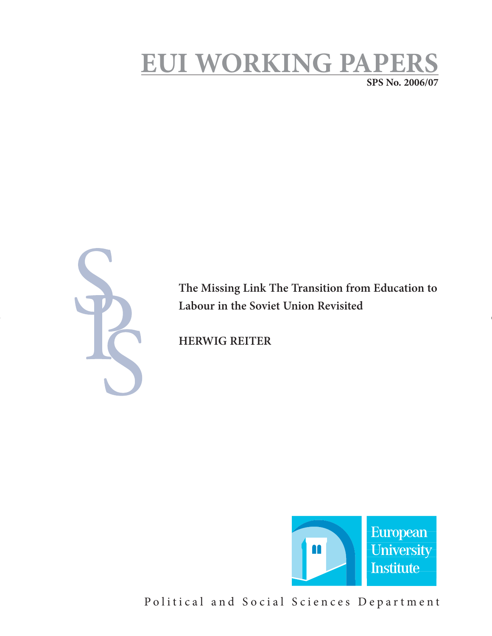# **EUI WORKING PAPERS**

**SPS No. 2006/07**



**The Missing Link The Transition from Education to Labour in the Soviet Union Revisited** 

**HERWIG REITER** 



Political and Social Sciences Department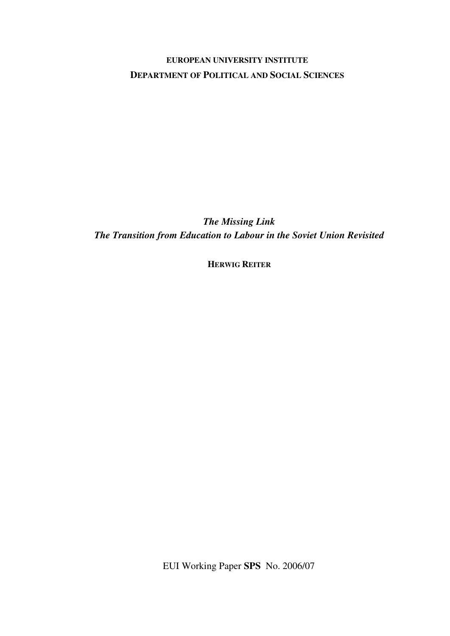## **EUROPEAN UNIVERSITY INSTITUTE DEPARTMENT OF POLITICAL AND SOCIAL SCIENCES**

*The Missing Link The Transition from Education to Labour in the Soviet Union Revisited* 

**HERWIG REITER**

EUI Working Paper **SPS** No. 2006/07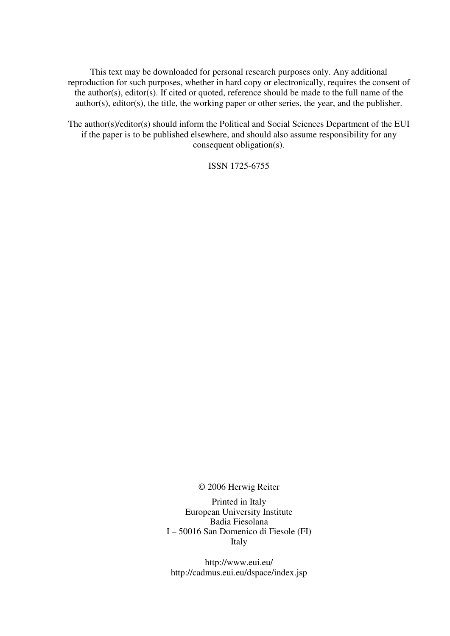This text may be downloaded for personal research purposes only. Any additional reproduction for such purposes, whether in hard copy or electronically, requires the consent of the author(s), editor(s). If cited or quoted, reference should be made to the full name of the author(s), editor(s), the title, the working paper or other series, the year, and the publisher.

The author(s)/editor(s) should inform the Political and Social Sciences Department of the EUI if the paper is to be published elsewhere, and should also assume responsibility for any consequent obligation(s).

ISSN 1725-6755

© 2006 Herwig Reiter

Printed in Italy European University Institute Badia Fiesolana I – 50016 San Domenico di Fiesole (FI) Italy

http://www.eui.eu/ http://cadmus.eui.eu/dspace/index.jsp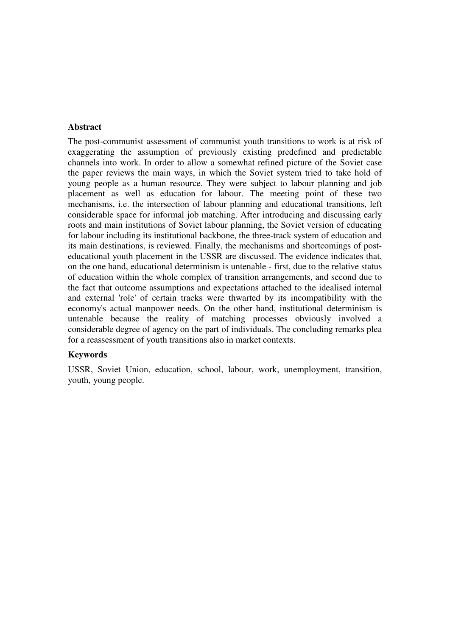## **Abstract**

The post-communist assessment of communist youth transitions to work is at risk of exaggerating the assumption of previously existing predefined and predictable channels into work. In order to allow a somewhat refined picture of the Soviet case the paper reviews the main ways, in which the Soviet system tried to take hold of young people as a human resource. They were subject to labour planning and job placement as well as education for labour. The meeting point of these two mechanisms, i.e. the intersection of labour planning and educational transitions, left considerable space for informal job matching. After introducing and discussing early roots and main institutions of Soviet labour planning, the Soviet version of educating for labour including its institutional backbone, the three-track system of education and its main destinations, is reviewed. Finally, the mechanisms and shortcomings of posteducational youth placement in the USSR are discussed. The evidence indicates that, on the one hand, educational determinism is untenable - first, due to the relative status of education within the whole complex of transition arrangements, and second due to the fact that outcome assumptions and expectations attached to the idealised internal and external 'role' of certain tracks were thwarted by its incompatibility with the economy's actual manpower needs. On the other hand, institutional determinism is untenable because the reality of matching processes obviously involved a considerable degree of agency on the part of individuals. The concluding remarks plea for a reassessment of youth transitions also in market contexts.

#### **Keywords**

USSR, Soviet Union, education, school, labour, work, unemployment, transition, youth, young people.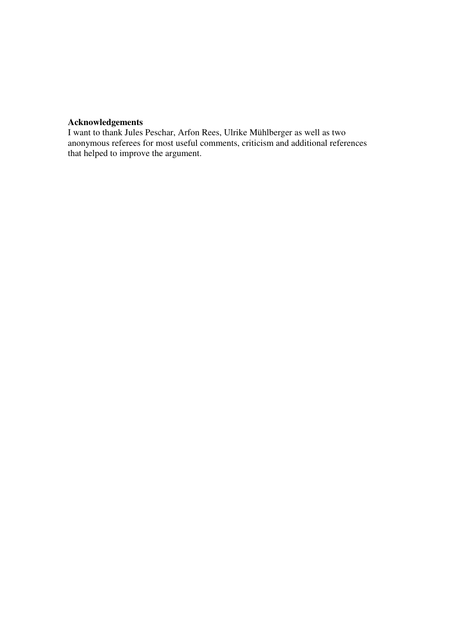## **Acknowledgements**

I want to thank Jules Peschar, Arfon Rees, Ulrike Mühlberger as well as two anonymous referees for most useful comments, criticism and additional references that helped to improve the argument.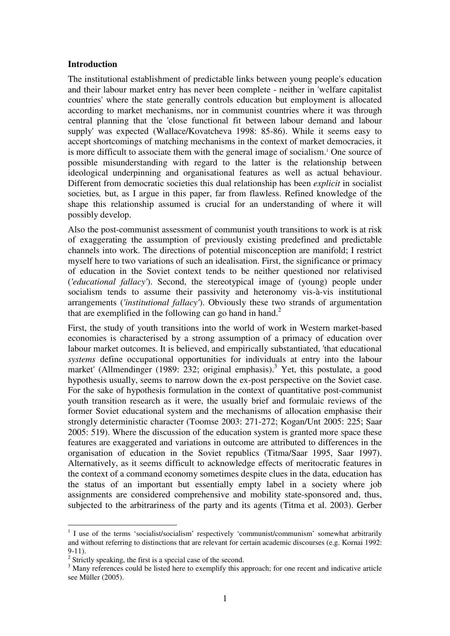## **Introduction**

The institutional establishment of predictable links between young people's education and their labour market entry has never been complete - neither in 'welfare capitalist countries' where the state generally controls education but employment is allocated according to market mechanisms, nor in communist countries where it was through central planning that the 'close functional fit between labour demand and labour supply' was expected (Wallace/Kovatcheva 1998: 85-86). While it seems easy to accept shortcomings of matching mechanisms in the context of market democracies, it is more difficult to associate them with the general image of socialism.<sup>1</sup> One source of possible misunderstanding with regard to the latter is the relationship between ideological underpinning and organisational features as well as actual behaviour. Different from democratic societies this dual relationship has been *explicit* in socialist societies*,* but, as I argue in this paper, far from flawless. Refined knowledge of the shape this relationship assumed is crucial for an understanding of where it will possibly develop.

Also the post-communist assessment of communist youth transitions to work is at risk of exaggerating the assumption of previously existing predefined and predictable channels into work. The directions of potential misconception are manifold; I restrict myself here to two variations of such an idealisation. First, the significance or primacy of education in the Soviet context tends to be neither questioned nor relativised (*'educational fallacy'*). Second, the stereotypical image of (young) people under socialism tends to assume their passivity and heteronomy vis-à-vis institutional arrangements (*'institutional fallacy'*). Obviously these two strands of argumentation that are exemplified in the following can go hand in hand.<sup>2</sup>

First, the study of youth transitions into the world of work in Western market-based economies is characterised by a strong assumption of a primacy of education over labour market outcomes. It is believed, and empirically substantiated, 'that educational *systems* define occupational opportunities for individuals at entry into the labour market' (Allmendinger (1989:  $232$ ; original emphasis).<sup>3</sup> Yet, this postulate, a good hypothesis usually, seems to narrow down the ex-post perspective on the Soviet case. For the sake of hypothesis formulation in the context of quantitative post-communist youth transition research as it were, the usually brief and formulaic reviews of the former Soviet educational system and the mechanisms of allocation emphasise their strongly deterministic character (Toomse 2003: 271-272; Kogan/Unt 2005: 225; Saar 2005: 519). Where the discussion of the education system is granted more space these features are exaggerated and variations in outcome are attributed to differences in the organisation of education in the Soviet republics (Titma/Saar 1995, Saar 1997). Alternatively, as it seems difficult to acknowledge effects of meritocratic features in the context of a command economy sometimes despite clues in the data, education has the status of an important but essentially empty label in a society where job assignments are considered comprehensive and mobility state-sponsored and, thus, subjected to the arbitrariness of the party and its agents (Titma et al. 2003). Gerber

<sup>&</sup>lt;sup>1</sup> I use of the terms 'socialist/socialism' respectively 'communist/communism' somewhat arbitrarily and without referring to distinctions that are relevant for certain academic discourses (e.g. Kornai 1992:  $9-11$ ).

 $2$  Strictly speaking, the first is a special case of the second.

<sup>&</sup>lt;sup>3</sup> Many references could be listed here to exemplify this approach; for one recent and indicative article see Müller (2005).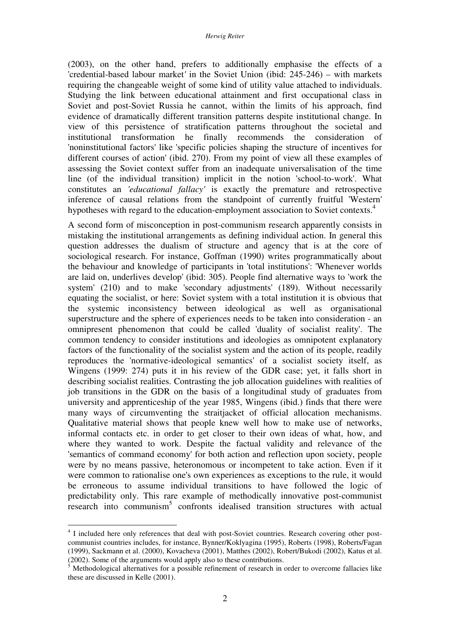(2003), on the other hand, prefers to additionally emphasise the effects of a 'credential-based labour market*'* in the Soviet Union (ibid: 245-246) – with markets requiring the changeable weight of some kind of utility value attached to individuals. Studying the link between educational attainment and first occupational class in Soviet and post-Soviet Russia he cannot, within the limits of his approach, find evidence of dramatically different transition patterns despite institutional change. In view of this persistence of stratification patterns throughout the societal and institutional transformation he finally recommends the consideration of 'noninstitutional factors' like 'specific policies shaping the structure of incentives for different courses of action' (ibid. 270). From my point of view all these examples of assessing the Soviet context suffer from an inadequate universalisation of the time line (of the individual transition) implicit in the notion 'school-to-work'. What constitutes an *'educational fallacy'* is exactly the premature and retrospective inference of causal relations from the standpoint of currently fruitful 'Western' hypotheses with regard to the education-employment association to Soviet contexts.<sup>4</sup>

A second form of misconception in post-communism research apparently consists in mistaking the institutional arrangements as defining individual action. In general this question addresses the dualism of structure and agency that is at the core of sociological research. For instance, Goffman (1990) writes programmatically about the behaviour and knowledge of participants in 'total institutions': 'Whenever worlds are laid on, underlives develop' (ibid: 305). People find alternative ways to 'work the system' (210) and to make 'secondary adjustments' (189). Without necessarily equating the socialist, or here: Soviet system with a total institution it is obvious that the systemic inconsistency between ideological as well as organisational superstructure and the sphere of experiences needs to be taken into consideration - an omnipresent phenomenon that could be called 'duality of socialist reality'. The common tendency to consider institutions and ideologies as omnipotent explanatory factors of the functionality of the socialist system and the action of its people, readily reproduces the 'normative-ideological semantics' of a socialist society itself, as Wingens (1999: 274) puts it in his review of the GDR case; yet, it falls short in describing socialist realities. Contrasting the job allocation guidelines with realities of job transitions in the GDR on the basis of a longitudinal study of graduates from university and apprenticeship of the year 1985, Wingens (ibid.) finds that there were many ways of circumventing the straitjacket of official allocation mechanisms. Qualitative material shows that people knew well how to make use of networks, informal contacts etc. in order to get closer to their own ideas of what, how, and where they wanted to work. Despite the factual validity and relevance of the 'semantics of command economy' for both action and reflection upon society, people were by no means passive, heteronomous or incompetent to take action. Even if it were common to rationalise one's own experiences as exceptions to the rule, it would be erroneous to assume individual transitions to have followed the logic of predictability only. This rare example of methodically innovative post-communist research into communism<sup>5</sup> confronts idealised transition structures with actual

<sup>&</sup>lt;sup>4</sup> I included here only references that deal with post-Soviet countries. Research covering other postcommunist countries includes, for instance, Bynner/Koklyagina (1995), Roberts (1998), Roberts/Fagan (1999), Sackmann et al. (2000), Kovacheva (2001), Matthes (2002), Robert/Bukodi (2002), Katus et al.  $(2002)$ . Some of the arguments would apply also to these contributions.

Methodological alternatives for a possible refinement of research in order to overcome fallacies like these are discussed in Kelle (2001).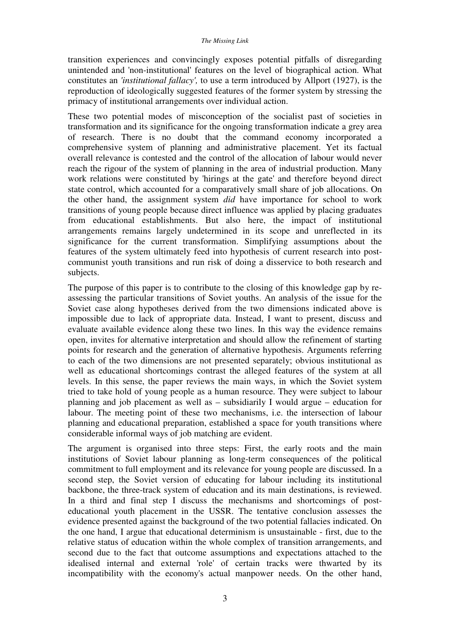transition experiences and convincingly exposes potential pitfalls of disregarding unintended and 'non-institutional' features on the level of biographical action. What constitutes an *'institutional fallacy',* to use a term introduced by Allport (1927), is the reproduction of ideologically suggested features of the former system by stressing the primacy of institutional arrangements over individual action.

These two potential modes of misconception of the socialist past of societies in transformation and its significance for the ongoing transformation indicate a grey area of research. There is no doubt that the command economy incorporated a comprehensive system of planning and administrative placement. Yet its factual overall relevance is contested and the control of the allocation of labour would never reach the rigour of the system of planning in the area of industrial production. Many work relations were constituted by 'hirings at the gate' and therefore beyond direct state control, which accounted for a comparatively small share of job allocations. On the other hand, the assignment system *did* have importance for school to work transitions of young people because direct influence was applied by placing graduates from educational establishments. But also here, the impact of institutional arrangements remains largely undetermined in its scope and unreflected in its significance for the current transformation. Simplifying assumptions about the features of the system ultimately feed into hypothesis of current research into postcommunist youth transitions and run risk of doing a disservice to both research and subjects.

The purpose of this paper is to contribute to the closing of this knowledge gap by reassessing the particular transitions of Soviet youths. An analysis of the issue for the Soviet case along hypotheses derived from the two dimensions indicated above is impossible due to lack of appropriate data. Instead, I want to present, discuss and evaluate available evidence along these two lines. In this way the evidence remains open, invites for alternative interpretation and should allow the refinement of starting points for research and the generation of alternative hypothesis. Arguments referring to each of the two dimensions are not presented separately; obvious institutional as well as educational shortcomings contrast the alleged features of the system at all levels. In this sense, the paper reviews the main ways, in which the Soviet system tried to take hold of young people as a human resource. They were subject to labour planning and job placement as well as – subsidiarily I would argue – education for labour. The meeting point of these two mechanisms, i.e. the intersection of labour planning and educational preparation, established a space for youth transitions where considerable informal ways of job matching are evident.

The argument is organised into three steps: First, the early roots and the main institutions of Soviet labour planning as long-term consequences of the political commitment to full employment and its relevance for young people are discussed. In a second step, the Soviet version of educating for labour including its institutional backbone, the three-track system of education and its main destinations, is reviewed. In a third and final step I discuss the mechanisms and shortcomings of posteducational youth placement in the USSR. The tentative conclusion assesses the evidence presented against the background of the two potential fallacies indicated. On the one hand, I argue that educational determinism is unsustainable - first, due to the relative status of education within the whole complex of transition arrangements, and second due to the fact that outcome assumptions and expectations attached to the idealised internal and external 'role' of certain tracks were thwarted by its incompatibility with the economy's actual manpower needs. On the other hand,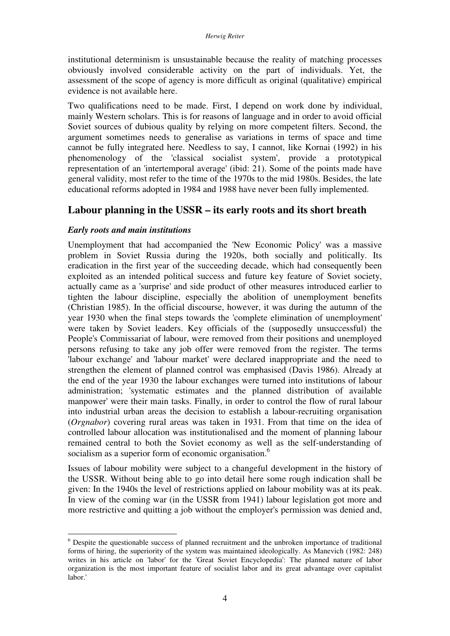institutional determinism is unsustainable because the reality of matching processes obviously involved considerable activity on the part of individuals. Yet, the assessment of the scope of agency is more difficult as original (qualitative) empirical evidence is not available here.

Two qualifications need to be made. First, I depend on work done by individual, mainly Western scholars. This is for reasons of language and in order to avoid official Soviet sources of dubious quality by relying on more competent filters. Second, the argument sometimes needs to generalise as variations in terms of space and time cannot be fully integrated here. Needless to say, I cannot, like Kornai (1992) in his phenomenology of the 'classical socialist system', provide a prototypical representation of an 'intertemporal average' (ibid: 21). Some of the points made have general validity, most refer to the time of the 1970s to the mid 1980s. Besides, the late educational reforms adopted in 1984 and 1988 have never been fully implemented.

## **Labour planning in the USSR – its early roots and its short breath**

## *Early roots and main institutions*

 $\overline{a}$ 

Unemployment that had accompanied the 'New Economic Policy' was a massive problem in Soviet Russia during the 1920s, both socially and politically. Its eradication in the first year of the succeeding decade, which had consequently been exploited as an intended political success and future key feature of Soviet society, actually came as a 'surprise' and side product of other measures introduced earlier to tighten the labour discipline, especially the abolition of unemployment benefits (Christian 1985). In the official discourse, however, it was during the autumn of the year 1930 when the final steps towards the 'complete elimination of unemployment' were taken by Soviet leaders. Key officials of the (supposedly unsuccessful) the People's Commissariat of labour, were removed from their positions and unemployed persons refusing to take any job offer were removed from the register. The terms 'labour exchange' and 'labour market' were declared inappropriate and the need to strengthen the element of planned control was emphasised (Davis 1986). Already at the end of the year 1930 the labour exchanges were turned into institutions of labour administration; 'systematic estimates and the planned distribution of available manpower' were their main tasks. Finally, in order to control the flow of rural labour into industrial urban areas the decision to establish a labour-recruiting organisation (*Orgnabor*) covering rural areas was taken in 1931. From that time on the idea of controlled labour allocation was institutionalised and the moment of planning labour remained central to both the Soviet economy as well as the self-understanding of socialism as a superior form of economic organisation.<sup>6</sup>

Issues of labour mobility were subject to a changeful development in the history of the USSR. Without being able to go into detail here some rough indication shall be given: In the 1940s the level of restrictions applied on labour mobility was at its peak. In view of the coming war (in the USSR from 1941) labour legislation got more and more restrictive and quitting a job without the employer's permission was denied and,

<sup>&</sup>lt;sup>6</sup> Despite the questionable success of planned recruitment and the unbroken importance of traditional forms of hiring, the superiority of the system was maintained ideologically. As Manevich (1982: 248) writes in his article on 'labor' for the 'Great Soviet Encyclopedia': The planned nature of labor organization is the most important feature of socialist labor and its great advantage over capitalist labor.'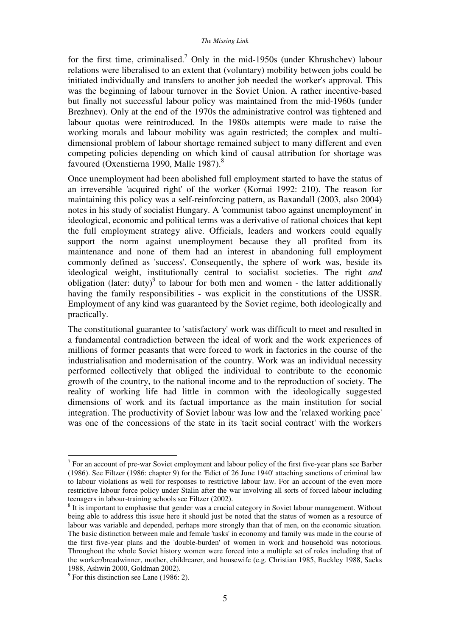#### *The Missing Link*

for the first time, criminalised.<sup>7</sup> Only in the mid-1950s (under Khrushchev) labour relations were liberalised to an extent that (voluntary) mobility between jobs could be initiated individually and transfers to another job needed the worker's approval. This was the beginning of labour turnover in the Soviet Union. A rather incentive-based but finally not successful labour policy was maintained from the mid-1960s (under Brezhnev). Only at the end of the 1970s the administrative control was tightened and labour quotas were reintroduced. In the 1980s attempts were made to raise the working morals and labour mobility was again restricted; the complex and multidimensional problem of labour shortage remained subject to many different and even competing policies depending on which kind of causal attribution for shortage was favoured (Oxenstierna 1990, Malle 1987).<sup>8</sup>

Once unemployment had been abolished full employment started to have the status of an irreversible 'acquired right' of the worker (Kornai 1992: 210). The reason for maintaining this policy was a self-reinforcing pattern, as Baxandall (2003, also 2004) notes in his study of socialist Hungary. A 'communist taboo against unemployment' in ideological, economic and political terms was a derivative of rational choices that kept the full employment strategy alive. Officials, leaders and workers could equally support the norm against unemployment because they all profited from its maintenance and none of them had an interest in abandoning full employment commonly defined as 'success'. Consequently, the sphere of work was, beside its ideological weight, institutionally central to socialist societies. The right *and* obligation (later: duty) $9$  to labour for both men and women - the latter additionally having the family responsibilities - was explicit in the constitutions of the USSR. Employment of any kind was guaranteed by the Soviet regime, both ideologically and practically.

The constitutional guarantee to 'satisfactory' work was difficult to meet and resulted in a fundamental contradiction between the ideal of work and the work experiences of millions of former peasants that were forced to work in factories in the course of the industrialisation and modernisation of the country. Work was an individual necessity performed collectively that obliged the individual to contribute to the economic growth of the country, to the national income and to the reproduction of society. The reality of working life had little in common with the ideologically suggested dimensions of work and its factual importance as the main institution for social integration. The productivity of Soviet labour was low and the 'relaxed working pace' was one of the concessions of the state in its 'tacit social contract' with the workers

 $<sup>7</sup>$  For an account of pre-war Soviet employment and labour policy of the first five-year plans see Barber</sup> (1986). See Filtzer (1986: chapter 9) for the 'Edict of 26 June 1940' attaching sanctions of criminal law to labour violations as well for responses to restrictive labour law. For an account of the even more restrictive labour force policy under Stalin after the war involving all sorts of forced labour including teenagers in labour-training schools see Filtzer (2002).

<sup>&</sup>lt;sup>8</sup> It is important to emphasise that gender was a crucial category in Soviet labour management. Without being able to address this issue here it should just be noted that the status of women as a resource of labour was variable and depended, perhaps more strongly than that of men, on the economic situation. The basic distinction between male and female 'tasks' in economy and family was made in the course of the first five-year plans and the 'double-burden' of women in work and household was notorious. Throughout the whole Soviet history women were forced into a multiple set of roles including that of the worker/breadwinner, mother, childrearer, and housewife (e.g. Christian 1985, Buckley 1988, Sacks 1988, Ashwin 2000, Goldman 2002).

 $9^9$  For this distinction see Lane (1986: 2).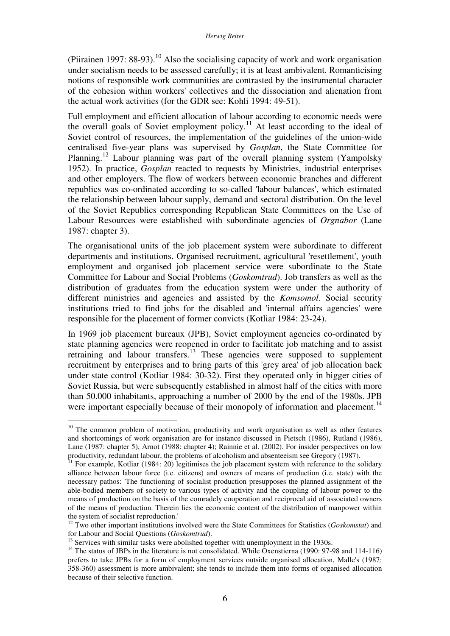(Piirainen 1997:  $88-93$ ).<sup>10</sup> Also the socialising capacity of work and work organisation under socialism needs to be assessed carefully; it is at least ambivalent. Romanticising notions of responsible work communities are contrasted by the instrumental character of the cohesion within workers' collectives and the dissociation and alienation from the actual work activities (for the GDR see: Kohli 1994: 49-51).

Full employment and efficient allocation of labour according to economic needs were the overall goals of Soviet employment policy.<sup>11</sup> At least according to the ideal of Soviet control of resources, the implementation of the guidelines of the union-wide centralised five-year plans was supervised by *Gosplan*, the State Committee for Planning.<sup>12</sup> Labour planning was part of the overall planning system (Yampolsky 1952). In practice, *Gosplan* reacted to requests by Ministries, industrial enterprises and other employers. The flow of workers between economic branches and different republics was co-ordinated according to so-called 'labour balances', which estimated the relationship between labour supply, demand and sectoral distribution. On the level of the Soviet Republics corresponding Republican State Committees on the Use of Labour Resources were established with subordinate agencies of *Orgnabor* (Lane 1987: chapter 3).

The organisational units of the job placement system were subordinate to different departments and institutions. Organised recruitment, agricultural 'resettlement', youth employment and organised job placement service were subordinate to the State Committee for Labour and Social Problems (*Goskomtrud*). Job transfers as well as the distribution of graduates from the education system were under the authority of different ministries and agencies and assisted by the *Komsomol*. Social security institutions tried to find jobs for the disabled and 'internal affairs agencies' were responsible for the placement of former convicts (Kotliar 1984: 23-24).

In 1969 job placement bureaux (JPB), Soviet employment agencies co-ordinated by state planning agencies were reopened in order to facilitate job matching and to assist retraining and labour transfers.<sup>13</sup> These agencies were supposed to supplement recruitment by enterprises and to bring parts of this 'grey area' of job allocation back under state control (Kotliar 1984: 30-32). First they operated only in bigger cities of Soviet Russia, but were subsequently established in almost half of the cities with more than 50.000 inhabitants, approaching a number of 2000 by the end of the 1980s. JPB were important especially because of their monopoly of information and placement.<sup>14</sup>

<sup>&</sup>lt;sup>10</sup> The common problem of motivation, productivity and work organisation as well as other features and shortcomings of work organisation are for instance discussed in Pietsch (1986), Rutland (1986), Lane (1987: chapter 5), Arnot (1988: chapter 4); Rainnie et al. (2002). For insider perspectives on low productivity, redundant labour, the problems of alcoholism and absenteeism see Gregory (1987).

 $11$  For example, Kotliar (1984: 20) legitimises the job placement system with reference to the solidary alliance between labour force (i.e. citizens) and owners of means of production (i.e. state) with the necessary pathos: 'The functioning of socialist production presupposes the planned assignment of the able-bodied members of society to various types of activity and the coupling of labour power to the means of production on the basis of the comradely cooperation and reciprocal aid of associated owners of the means of production. Therein lies the economic content of the distribution of manpower within the system of socialist reproduction.'

<sup>&</sup>lt;sup>12</sup> Two other important institutions involved were the State Committees for Statistics (*Goskomstat*) and for Labour and Social Questions (*Goskomtrud*).

 $13$  Services with similar tasks were abolished together with unemployment in the 1930s.

<sup>&</sup>lt;sup>14</sup> The status of JBPs in the literature is not consolidated. While Oxenstierna (1990: 97-98 and 114-116) prefers to take JPBs for a form of employment services outside organised allocation, Malle's (1987: 358-360) assessment is more ambivalent; she tends to include them into forms of organised allocation because of their selective function.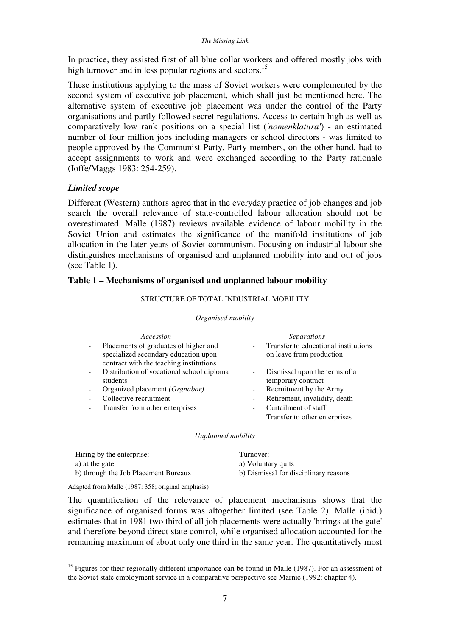#### *The Missing Link*

In practice, they assisted first of all blue collar workers and offered mostly jobs with high turnover and in less popular regions and sectors.<sup>15</sup>

These institutions applying to the mass of Soviet workers were complemented by the second system of executive job placement, which shall just be mentioned here. The alternative system of executive job placement was under the control of the Party organisations and partly followed secret regulations. Access to certain high as well as comparatively low rank positions on a special list (*'nomenklatura'*) - an estimated number of four million jobs including managers or school directors - was limited to people approved by the Communist Party. Party members, on the other hand, had to accept assignments to work and were exchanged according to the Party rationale (Ioffe/Maggs 1983: 254-259).

## *Limited scope*

Different (Western) authors agree that in the everyday practice of job changes and job search the overall relevance of state-controlled labour allocation should not be overestimated. Malle (1987) reviews available evidence of labour mobility in the Soviet Union and estimates the significance of the manifold institutions of job allocation in the later years of Soviet communism. Focusing on industrial labour she distinguishes mechanisms of organised and unplanned mobility into and out of jobs (see Table 1).

#### **Table 1 – Mechanisms of organised and unplanned labour mobility**

#### STRUCTURE OF TOTAL INDUSTRIAL MOBILITY

#### *Organised mobility*

| Accession                                                                                                                |                          | <i>Separations</i>                                               |
|--------------------------------------------------------------------------------------------------------------------------|--------------------------|------------------------------------------------------------------|
| Placements of graduates of higher and<br>specialized secondary education upon<br>contract with the teaching institutions |                          | Transfer to educational institutions<br>on leave from production |
| Distribution of vocational school diploma<br>students                                                                    | $\sim$                   | Dismissal upon the terms of a<br>temporary contract              |
| Organized placement (Orgnabor)                                                                                           | $\sim$                   | Recruitment by the Army                                          |
| Collective recruitment                                                                                                   | $\overline{\phantom{a}}$ | Retirement, invalidity, death                                    |
| Transfer from other enterprises                                                                                          | ۰.                       | Curtailment of staff                                             |
|                                                                                                                          | $\overline{\phantom{a}}$ | Transfer to other enterprises                                    |

#### *Unplanned mobility*

| Hiring by the enterprise:            | Turnover:                             |
|--------------------------------------|---------------------------------------|
| a) at the gate                       | a) Voluntary quits                    |
| b) through the Job Placement Bureaux | b) Dismissal for disciplinary reasons |

Adapted from Malle (1987: 358; original emphasis)

 $\overline{a}$ 

The quantification of the relevance of placement mechanisms shows that the significance of organised forms was altogether limited (see Table 2). Malle (ibid.) estimates that in 1981 two third of all job placements were actually 'hirings at the gate' and therefore beyond direct state control, while organised allocation accounted for the remaining maximum of about only one third in the same year. The quantitatively most

<sup>&</sup>lt;sup>15</sup> Figures for their regionally different importance can be found in Malle (1987). For an assessment of the Soviet state employment service in a comparative perspective see Marnie (1992: chapter 4).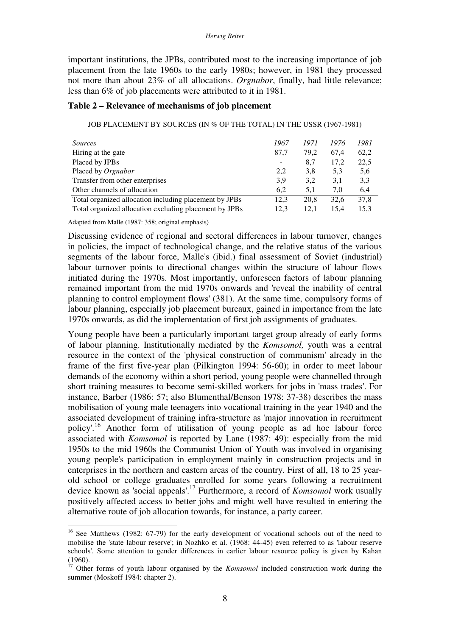#### *Herwig Reiter*

important institutions, the JPBs, contributed most to the increasing importance of job placement from the late 1960s to the early 1980s; however, in 1981 they processed not more than about 23% of all allocations. *Orgnabor*, finally, had little relevance; less than 6% of job placements were attributed to it in 1981.

#### **Table 2 – Relevance of mechanisms of job placement**

JOB PLACEMENT BY SOURCES (IN % OF THE TOTAL) IN THE USSR (1967-1981)

| <i>Sources</i>                                         | 1967                     | 1971 | 1976 | 1981 |
|--------------------------------------------------------|--------------------------|------|------|------|
| Hiring at the gate                                     | 87,7                     | 79.2 | 67.4 | 62,2 |
| Placed by JPBs                                         | $\overline{\phantom{0}}$ | 8.7  | 17,2 | 22,5 |
| Placed by <i>Orgnabor</i>                              | 2,2                      | 3,8  | 5.3  | 5,6  |
| Transfer from other enterprises                        | 3,9                      | 3.2  | 3,1  | 3.3  |
| Other channels of allocation                           | 6.2                      | 5.1  | 7.0  | 6,4  |
| Total organized allocation including placement by JPBs | 12,3                     | 20.8 | 32.6 | 37,8 |
| Total organized allocation excluding placement by JPBs | 12.3                     | 12.1 | 15.4 | 15.3 |

Adapted from Malle (1987: 358; original emphasis)

 $\overline{a}$ 

Discussing evidence of regional and sectoral differences in labour turnover, changes in policies, the impact of technological change, and the relative status of the various segments of the labour force, Malle's (ibid.) final assessment of Soviet (industrial) labour turnover points to directional changes within the structure of labour flows initiated during the 1970s. Most importantly, unforeseen factors of labour planning remained important from the mid 1970s onwards and 'reveal the inability of central planning to control employment flows' (381). At the same time, compulsory forms of labour planning, especially job placement bureaux, gained in importance from the late 1970s onwards, as did the implementation of first job assignments of graduates.

Young people have been a particularly important target group already of early forms of labour planning. Institutionally mediated by the *Komsomol,* youth was a central resource in the context of the 'physical construction of communism' already in the frame of the first five-year plan (Pilkington 1994: 56-60); in order to meet labour demands of the economy within a short period, young people were channelled through short training measures to become semi-skilled workers for jobs in 'mass trades'. For instance, Barber (1986: 57; also Blumenthal/Benson 1978: 37-38) describes the mass mobilisation of young male teenagers into vocational training in the year 1940 and the associated development of training infra-structure as 'major innovation in recruitment policy'.<sup>16</sup> Another form of utilisation of young people as ad hoc labour force associated with *Komsomol* is reported by Lane (1987: 49): especially from the mid 1950s to the mid 1960s the Communist Union of Youth was involved in organising young people's participation in employment mainly in construction projects and in enterprises in the northern and eastern areas of the country. First of all, 18 to 25 yearold school or college graduates enrolled for some years following a recruitment device known as 'social appeals'.<sup>17</sup> Furthermore, a record of *Komsomol* work usually positively affected access to better jobs and might well have resulted in entering the alternative route of job allocation towards, for instance, a party career.

<sup>&</sup>lt;sup>16</sup> See Matthews (1982: 67-79) for the early development of vocational schools out of the need to mobilise the 'state labour reserve'; in Nozhko et al. (1968: 44-45) even referred to as 'labour reserve schools'. Some attention to gender differences in earlier labour resource policy is given by Kahan (1960).

<sup>&</sup>lt;sup>17</sup> Other forms of youth labour organised by the *Komsomol* included construction work during the summer (Moskoff 1984: chapter 2).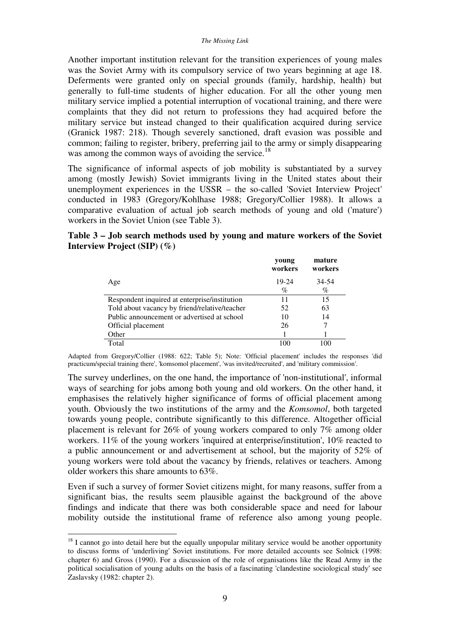Another important institution relevant for the transition experiences of young males was the Soviet Army with its compulsory service of two years beginning at age 18. Deferments were granted only on special grounds (family, hardship, health) but generally to full-time students of higher education. For all the other young men military service implied a potential interruption of vocational training, and there were complaints that they did not return to professions they had acquired before the military service but instead changed to their qualification acquired during service (Granick 1987: 218). Though severely sanctioned, draft evasion was possible and common; failing to register, bribery, preferring jail to the army or simply disappearing was among the common ways of avoiding the service.<sup>18</sup>

The significance of informal aspects of job mobility is substantiated by a survey among (mostly Jewish) Soviet immigrants living in the United states about their unemployment experiences in the USSR – the so-called 'Soviet Interview Project' conducted in 1983 (Gregory/Kohlhase 1988; Gregory/Collier 1988). It allows a comparative evaluation of actual job search methods of young and old ('mature') workers in the Soviet Union (see Table 3).

## **Table 3 – Job search methods used by young and mature workers of the Soviet Interview Project (SIP) (%)**

|                                               | young<br>workers | mature<br>workers |
|-----------------------------------------------|------------------|-------------------|
| Age                                           | 19-24            | 34-54             |
|                                               | %                | $\%$              |
| Respondent inquired at enterprise/institution | 11               | 15                |
| Told about vacancy by friend/relative/teacher | 52               | 63                |
| Public announcement or advertised at school   | 10               | 14                |
| Official placement                            | 26               |                   |
| Other                                         |                  |                   |
| Total                                         | 100              | 100               |

Adapted from Gregory/Collier (1988: 622; Table 5); Note: 'Official placement' includes the responses 'did practicum/special training there', 'komsomol placement', 'was invited/recruited', and 'military commission'.

The survey underlines, on the one hand, the importance of 'non-institutional', informal ways of searching for jobs among both young and old workers. On the other hand, it emphasises the relatively higher significance of forms of official placement among youth. Obviously the two institutions of the army and the *Komsomol*, both targeted towards young people, contribute significantly to this difference. Altogether official placement is relevant for 26% of young workers compared to only 7% among older workers. 11% of the young workers 'inquired at enterprise/institution', 10% reacted to a public announcement or and advertisement at school, but the majority of 52% of young workers were told about the vacancy by friends, relatives or teachers. Among older workers this share amounts to 63%.

Even if such a survey of former Soviet citizens might, for many reasons, suffer from a significant bias, the results seem plausible against the background of the above findings and indicate that there was both considerable space and need for labour mobility outside the institutional frame of reference also among young people.

 $18$  I cannot go into detail here but the equally unpopular military service would be another opportunity to discuss forms of 'underliving' Soviet institutions. For more detailed accounts see Solnick (1998: chapter 6) and Gross (1990). For a discussion of the role of organisations like the Read Army in the political socialisation of young adults on the basis of a fascinating 'clandestine sociological study' see Zaslavsky (1982: chapter 2).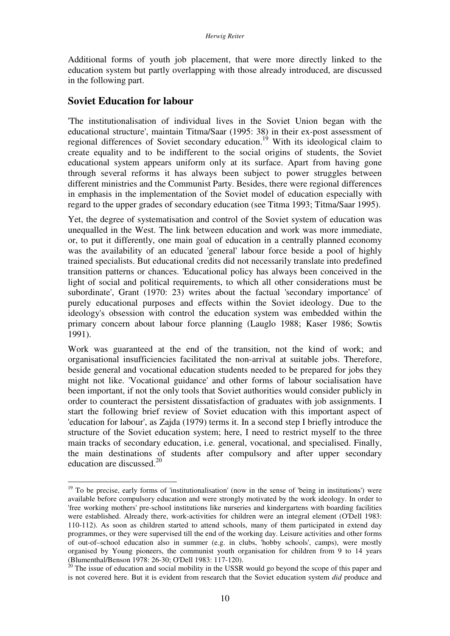Additional forms of youth job placement, that were more directly linked to the education system but partly overlapping with those already introduced, are discussed in the following part.

## **Soviet Education for labour**

 $\overline{a}$ 

'The institutionalisation of individual lives in the Soviet Union began with the educational structure', maintain Titma/Saar (1995: 38) in their ex-post assessment of regional differences of Soviet secondary education.<sup>19</sup> With its ideological claim to create equality and to be indifferent to the social origins of students, the Soviet educational system appears uniform only at its surface. Apart from having gone through several reforms it has always been subject to power struggles between different ministries and the Communist Party. Besides, there were regional differences in emphasis in the implementation of the Soviet model of education especially with regard to the upper grades of secondary education (see Titma 1993; Titma/Saar 1995).

Yet, the degree of systematisation and control of the Soviet system of education was unequalled in the West. The link between education and work was more immediate, or, to put it differently, one main goal of education in a centrally planned economy was the availability of an educated 'general' labour force beside a pool of highly trained specialists. But educational credits did not necessarily translate into predefined transition patterns or chances. 'Educational policy has always been conceived in the light of social and political requirements, to which all other considerations must be subordinate', Grant (1970: 23) writes about the factual 'secondary importance' of purely educational purposes and effects within the Soviet ideology. Due to the ideology's obsession with control the education system was embedded within the primary concern about labour force planning (Lauglo 1988; Kaser 1986; Sowtis 1991).

Work was guaranteed at the end of the transition, not the kind of work; and organisational insufficiencies facilitated the non-arrival at suitable jobs. Therefore, beside general and vocational education students needed to be prepared for jobs they might not like. 'Vocational guidance' and other forms of labour socialisation have been important, if not the only tools that Soviet authorities would consider publicly in order to counteract the persistent dissatisfaction of graduates with job assignments. I start the following brief review of Soviet education with this important aspect of 'education for labour', as Zajda (1979) terms it. In a second step I briefly introduce the structure of the Soviet education system; here, I need to restrict myself to the three main tracks of secondary education, i.e. general, vocational, and specialised. Finally, the main destinations of students after compulsory and after upper secondary education are discussed. $20$ 

 $19$  To be precise, early forms of 'institutionalisation' (now in the sense of 'being in institutions') were available before compulsory education and were strongly motivated by the work ideology. In order to 'free working mothers' pre-school institutions like nurseries and kindergartens with boarding facilities were established. Already there, work-activities for children were an integral element (O'Dell 1983: 110-112). As soon as children started to attend schools, many of them participated in extend day programmes, or they were supervised till the end of the working day. Leisure activities and other forms of out-of–school education also in summer (e.g. in clubs, 'hobby schools', camps), were mostly organised by Young pioneers, the communist youth organisation for children from 9 to 14 years (Blumenthal/Benson 1978: 26-30; O'Dell 1983: 117-120).

 $20$  The issue of education and social mobility in the USSR would go beyond the scope of this paper and is not covered here. But it is evident from research that the Soviet education system *did* produce and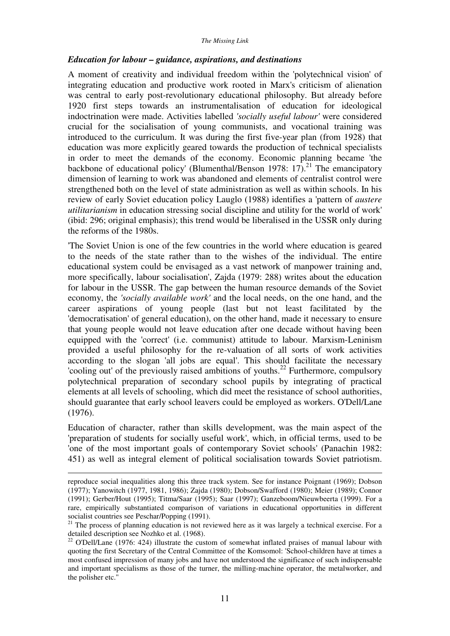#### *Education for labour – guidance, aspirations, and destinations*

A moment of creativity and individual freedom within the 'polytechnical vision' of integrating education and productive work rooted in Marx's criticism of alienation was central to early post-revolutionary educational philosophy. But already before 1920 first steps towards an instrumentalisation of education for ideological indoctrination were made. Activities labelled *'socially useful labour'* were considered crucial for the socialisation of young communists, and vocational training was introduced to the curriculum. It was during the first five-year plan (from 1928) that education was more explicitly geared towards the production of technical specialists in order to meet the demands of the economy. Economic planning became 'the backbone of educational policy' (Blumenthal/Benson 1978:  $17$ ).<sup>21</sup> The emancipatory dimension of learning to work was abandoned and elements of centralist control were strengthened both on the level of state administration as well as within schools. In his review of early Soviet education policy Lauglo (1988) identifies a 'pattern of *austere utilitarianism* in education stressing social discipline and utility for the world of work' (ibid: 296; original emphasis); this trend would be liberalised in the USSR only during the reforms of the 1980s.

'The Soviet Union is one of the few countries in the world where education is geared to the needs of the state rather than to the wishes of the individual. The entire educational system could be envisaged as a vast network of manpower training and, more specifically, labour socialisation', Zajda (1979: 288) writes about the education for labour in the USSR. The gap between the human resource demands of the Soviet economy, the *'socially available work'* and the local needs, on the one hand, and the career aspirations of young people (last but not least facilitated by the 'democratisation' of general education), on the other hand, made it necessary to ensure that young people would not leave education after one decade without having been equipped with the 'correct' (i.e. communist) attitude to labour. Marxism-Leninism provided a useful philosophy for the re-valuation of all sorts of work activities according to the slogan 'all jobs are equal'. This should facilitate the necessary 'cooling out' of the previously raised ambitions of youths.<sup>22</sup> Furthermore, compulsory polytechnical preparation of secondary school pupils by integrating of practical elements at all levels of schooling, which did meet the resistance of school authorities, should guarantee that early school leavers could be employed as workers. O'Dell/Lane (1976).

Education of character, rather than skills development, was the main aspect of the 'preparation of students for socially useful work', which, in official terms, used to be 'one of the most important goals of contemporary Soviet schools' (Panachin 1982: 451) as well as integral element of political socialisation towards Soviet patriotism.

reproduce social inequalities along this three track system. See for instance Poignant (1969); Dobson (1977); Yanowitch (1977, 1981, 1986); Zajda (1980); Dobson/Swafford (1980); Meier (1989); Connor (1991); Gerber/Hout (1995); Titma/Saar (1995); Saar (1997); Ganzeboom/Nieuwbeerta (1999). For a rare, empirically substantiated comparison of variations in educational opportunities in different socialist countries see Peschar/Popping (1991).

 $21$  The process of planning education is not reviewed here as it was largely a technical exercise. For a detailed description see Nozhko et al. (1968).

<sup>&</sup>lt;sup>22</sup> O'Dell/Lane (1976: 424) illustrate the custom of somewhat inflated praises of manual labour with quoting the first Secretary of the Central Committee of the Komsomol: 'School-children have at times a most confused impression of many jobs and have not understood the significance of such indispensable and important specialisms as those of the turner, the milling-machine operator, the metalworker, and the polisher etc.''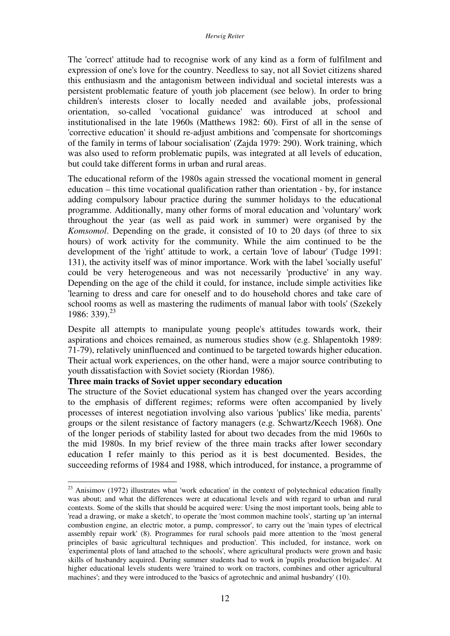The 'correct' attitude had to recognise work of any kind as a form of fulfilment and expression of one's love for the country. Needless to say, not all Soviet citizens shared this enthusiasm and the antagonism between individual and societal interests was a persistent problematic feature of youth job placement (see below). In order to bring children's interests closer to locally needed and available jobs, professional orientation, so-called 'vocational guidance' was introduced at school and institutionalised in the late 1960s (Matthews 1982: 60). First of all in the sense of 'corrective education' it should re-adjust ambitions and 'compensate for shortcomings of the family in terms of labour socialisation' (Zajda 1979: 290). Work training, which was also used to reform problematic pupils, was integrated at all levels of education, but could take different forms in urban and rural areas.

The educational reform of the 1980s again stressed the vocational moment in general education – this time vocational qualification rather than orientation - by, for instance adding compulsory labour practice during the summer holidays to the educational programme. Additionally, many other forms of moral education and 'voluntary' work throughout the year (as well as paid work in summer) were organised by the *Komsomol*. Depending on the grade, it consisted of 10 to 20 days (of three to six hours) of work activity for the community. While the aim continued to be the development of the 'right' attitude to work, a certain 'love of labour' (Tudge 1991: 131), the activity itself was of minor importance. Work with the label 'socially useful' could be very heterogeneous and was not necessarily 'productive' in any way. Depending on the age of the child it could, for instance, include simple activities like 'learning to dress and care for oneself and to do household chores and take care of school rooms as well as mastering the rudiments of manual labor with tools' (Szekely 1986: 339).<sup>23</sup>

Despite all attempts to manipulate young people's attitudes towards work, their aspirations and choices remained, as numerous studies show (e.g. Shlapentokh 1989: 71-79), relatively uninfluenced and continued to be targeted towards higher education. Their actual work experiences, on the other hand, were a major source contributing to youth dissatisfaction with Soviet society (Riordan 1986).

#### **Three main tracks of Soviet upper secondary education**

 $\overline{a}$ 

The structure of the Soviet educational system has changed over the years according to the emphasis of different regimes; reforms were often accompanied by lively processes of interest negotiation involving also various 'publics' like media, parents' groups or the silent resistance of factory managers (e.g. Schwartz/Keech 1968). One of the longer periods of stability lasted for about two decades from the mid 1960s to the mid 1980s. In my brief review of the three main tracks after lower secondary education I refer mainly to this period as it is best documented. Besides, the succeeding reforms of 1984 and 1988, which introduced, for instance, a programme of

 $^{23}$  Anisimov (1972) illustrates what 'work education' in the context of polytechnical education finally was about; and what the differences were at educational levels and with regard to urban and rural contexts. Some of the skills that should be acquired were: Using the most important tools, being able to 'read a drawing, or make a sketch', to operate the 'most common machine tools', starting up 'an internal combustion engine, an electric motor, a pump, compressor', to carry out the 'main types of electrical assembly repair work' (8). Programmes for rural schools paid more attention to the 'most general principles of basic agricultural techniques and production'. This included, for instance, work on 'experimental plots of land attached to the schools', where agricultural products were grown and basic skills of husbandry acquired. During summer students had to work in 'pupils production brigades'. At higher educational levels students were 'trained to work on tractors, combines and other agricultural machines'; and they were introduced to the 'basics of agrotechnic and animal husbandry' (10).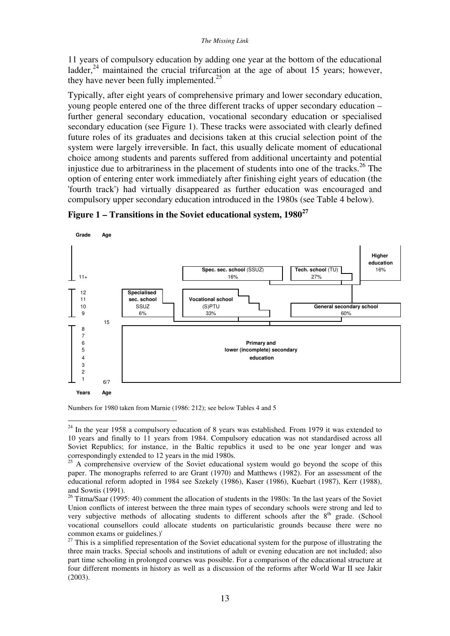11 years of compulsory education by adding one year at the bottom of the educational ladder, $^{24}$  maintained the crucial trifurcation at the age of about 15 years; however, they have never been fully implemented. $25$ 

Typically, after eight years of comprehensive primary and lower secondary education, young people entered one of the three different tracks of upper secondary education – further general secondary education, vocational secondary education or specialised secondary education (see Figure 1). These tracks were associated with clearly defined future roles of its graduates and decisions taken at this crucial selection point of the system were largely irreversible. In fact, this usually delicate moment of educational choice among students and parents suffered from additional uncertainty and potential injustice due to arbitrariness in the placement of students into one of the tracks.<sup>26</sup> The option of entering enter work immediately after finishing eight years of education (the 'fourth track') had virtually disappeared as further education was encouraged and compulsory upper secondary education introduced in the 1980s (see Table 4 below).



**Figure 1 – Transitions in the Soviet educational system, 1980<sup>27</sup>**

Numbers for 1980 taken from Marnie (1986: 212); see below Tables 4 and 5

 $24$  In the year 1958 a compulsory education of 8 years was established. From 1979 it was extended to 10 years and finally to 11 years from 1984. Compulsory education was not standardised across all Soviet Republics; for instance, in the Baltic republics it used to be one year longer and was correspondingly extended to 12 years in the mid 1980s.

 $25$  A comprehensive overview of the Soviet educational system would go beyond the scope of this paper. The monographs referred to are Grant (1970) and Matthews (1982). For an assessment of the educational reform adopted in 1984 see Szekely (1986), Kaser (1986), Kuebart (1987), Kerr (1988), and Sowtis (1991).

<sup>&</sup>lt;sup>26</sup> Titma/Saar (1995: 40) comment the allocation of students in the 1980s: 'In the last years of the Soviet Union conflicts of interest between the three main types of secondary schools were strong and led to very subjective methods of allocating students to different schools after the  $8<sup>th</sup>$  grade. (School vocational counsellors could allocate students on particularistic grounds because there were no common exams or guidelines.)'

<sup>&</sup>lt;sup>27</sup> This is a simplified representation of the Soviet educational system for the purpose of illustrating the three main tracks. Special schools and institutions of adult or evening education are not included; also part time schooling in prolonged courses was possible. For a comparison of the educational structure at four different moments in history as well as a discussion of the reforms after World War II see Jakir (2003).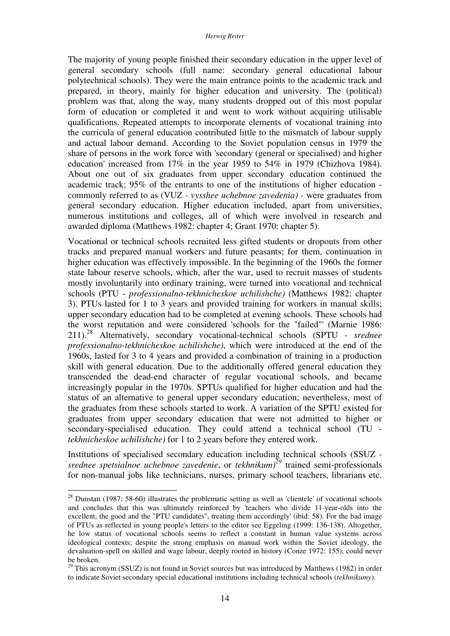The majority of young people finished their secondary education in the upper level of general secondary schools (full name: secondary general educational labour polytechnical schools). They were the main entrance points to the academic track and prepared, in theory, mainly for higher education and university. The (political) problem was that, along the way, many students dropped out of this most popular form of education or completed it and went to work without acquiring utilisable qualifications. Repeated attempts to incorporate elements of vocational training into the curricula of general education contributed little to the mismatch of labour supply and actual labour demand. According to the Soviet population census in 1979 the share of persons in the work force with 'secondary (general or specialised) and higher education' increased from 17% in the year 1959 to 54% in 1979 (Chizhova 1984). About one out of six graduates from upper secondary education continued the academic track; 95% of the entrants to one of the institutions of higher education commonly referred to as (VUZ - *vysshee uchebnoe zavedenia) -* were graduates from general secondary education. Higher education included, apart from universities, numerous institutions and colleges, all of which were involved in research and awarded diploma (Matthews 1982: chapter 4; Grant 1970: chapter 5).

Vocational or technical schools recruited less gifted students or dropouts from other tracks and prepared manual workers and future peasants; for them, continuation in higher education was effectively impossible. In the beginning of the 1960s the former state labour reserve schools, which, after the war, used to recruit masses of students mostly involuntarily into ordinary training, were turned into vocational and technical schools (PTU - *professionalno-tekhnicheskoe uchilishche)* (Matthews 1982: chapter 3). PTUs lasted for 1 to 3 years and provided training for workers in manual skills; upper secondary education had to be completed at evening schools. These schools had the worst reputation and were considered 'schools for the "failed"' (Marnie 1986: 211).<sup>28</sup> Alternatively, secondary vocational-technical schools (SPTU - *srednee professionalno-tekhnicheskoe uchilishche)*, which were introduced at the end of the 1960s, lasted for 3 to 4 years and provided a combination of training in a production skill with general education. Due to the additionally offered general education they transcended the dead-end character of regular vocational schools, and became increasingly popular in the 1970s. SPTUs qualified for higher education and had the status of an alternative to general upper secondary education; nevertheless, most of the graduates from these schools started to work. A variation of the SPTU existed for graduates from upper secondary education that were not admitted to higher or secondary-specialised education. They could attend a technical school (TU *tekhnicheskoe uchilishche)* for 1 to 2 years before they entered work.

Institutions of specialised secondary education including technical schools (SSUZ *srednee spetsialnoe uchebnoe zavedenie*, or *tekhnikum)<sup>29</sup>* trained semi-professionals for non-manual jobs like technicians, nurses, primary school teachers, librarians etc.

 $28$  Dunstan (1987: 58-60) illustrates the problematic setting as well as 'clientele' of vocational schools and concludes that this was ultimately reinforced by 'teachers who divide 11-year-olds into the excellent, the good and the "PTU candidates", treating them accordingly' (ibid: 58). For the bad image of PTUs as reflected in young people's letters to the editor see Eggeling (1999: 136-138). Altogether, he low status of vocational schools seems to reflect a constant in human value systems across ideological contexts; despite the strong emphasis on manual work within the Soviet ideology, the devaluation-spell on skilled and wage labour, deeply rooted in history (Conze 1972: 155), could never be broken.

<sup>&</sup>lt;sup>29</sup> This acronym (SSUZ) is not found in Soviet sources but was introduced by Matthews (1982) in order to indicate Soviet secondary special educational institutions including technical schools (*tekhnikumy*).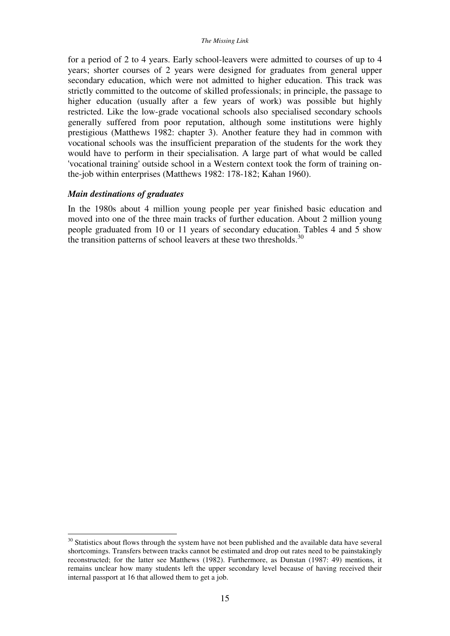for a period of 2 to 4 years. Early school-leavers were admitted to courses of up to 4 years; shorter courses of 2 years were designed for graduates from general upper secondary education, which were not admitted to higher education. This track was strictly committed to the outcome of skilled professionals; in principle, the passage to higher education (usually after a few years of work) was possible but highly restricted. Like the low-grade vocational schools also specialised secondary schools generally suffered from poor reputation, although some institutions were highly prestigious (Matthews 1982: chapter 3). Another feature they had in common with vocational schools was the insufficient preparation of the students for the work they would have to perform in their specialisation. A large part of what would be called 'vocational training' outside school in a Western context took the form of training onthe-job within enterprises (Matthews 1982: 178-182; Kahan 1960).

### *Main destinations of graduates*

 $\overline{a}$ 

In the 1980s about 4 million young people per year finished basic education and moved into one of the three main tracks of further education. About 2 million young people graduated from 10 or 11 years of secondary education. Tables 4 and 5 show the transition patterns of school leavers at these two thresholds. $30$ 

 $30$  Statistics about flows through the system have not been published and the available data have several shortcomings. Transfers between tracks cannot be estimated and drop out rates need to be painstakingly reconstructed; for the latter see Matthews (1982). Furthermore, as Dunstan (1987: 49) mentions, it remains unclear how many students left the upper secondary level because of having received their internal passport at 16 that allowed them to get a job.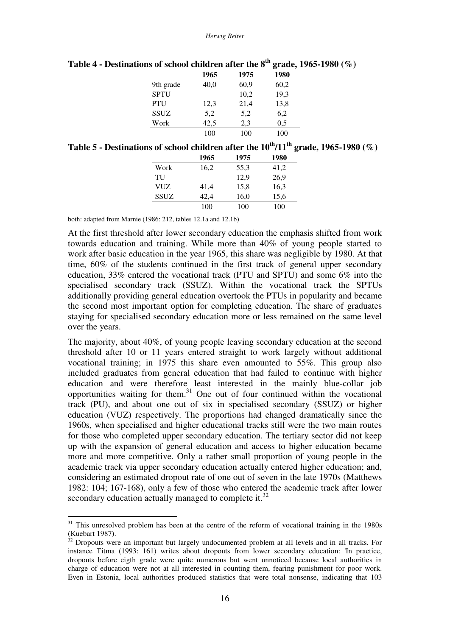|             | 1965 | 1975 | 1980 |
|-------------|------|------|------|
| 9th grade   | 40,0 | 60,9 | 60,2 |
| <b>SPTU</b> |      | 10,2 | 19,3 |
| PTU         | 12,3 | 21,4 | 13,8 |
| <b>SSUZ</b> | 5,2  | 5,2  | 6,2  |
| Work        | 42,5 | 2,3  | 0,5  |
|             | 100  | 100  | 100  |

**Table 4 - Destinations of school children after the 8th grade, 1965-1980 (%)** 

| Table 5 - Destinations of school children after the $10^{th}/11^{th}$ grade, 1965-1980 (%) |  |  |  |
|--------------------------------------------------------------------------------------------|--|--|--|
|                                                                                            |  |  |  |

|             | 1965 | 1975 | 1980 |
|-------------|------|------|------|
| Work        | 16,2 | 55,3 | 41,2 |
| TU          |      | 12,9 | 26,9 |
| VUZ         | 41,4 | 15,8 | 16,3 |
| <b>SSUZ</b> | 42,4 | 16,0 | 15,6 |
|             | 100  | 100  | 100  |

both: adapted from Marnie (1986: 212, tables 12.1a and 12.1b)

 $\overline{a}$ 

At the first threshold after lower secondary education the emphasis shifted from work towards education and training. While more than 40% of young people started to work after basic education in the year 1965, this share was negligible by 1980. At that time, 60% of the students continued in the first track of general upper secondary education, 33% entered the vocational track (PTU and SPTU) and some 6% into the specialised secondary track (SSUZ). Within the vocational track the SPTUs additionally providing general education overtook the PTUs in popularity and became the second most important option for completing education. The share of graduates staying for specialised secondary education more or less remained on the same level over the years.

The majority, about 40%, of young people leaving secondary education at the second threshold after 10 or 11 years entered straight to work largely without additional vocational training; in 1975 this share even amounted to 55%. This group also included graduates from general education that had failed to continue with higher education and were therefore least interested in the mainly blue-collar job opportunities waiting for them. $31$  One out of four continued within the vocational track (PU), and about one out of six in specialised secondary (SSUZ) or higher education (VUZ) respectively. The proportions had changed dramatically since the 1960s, when specialised and higher educational tracks still were the two main routes for those who completed upper secondary education. The tertiary sector did not keep up with the expansion of general education and access to higher education became more and more competitive. Only a rather small proportion of young people in the academic track via upper secondary education actually entered higher education; and, considering an estimated dropout rate of one out of seven in the late 1970s (Matthews 1982: 104; 167-168), only a few of those who entered the academic track after lower secondary education actually managed to complete it.<sup>32</sup>

 $31$  This unresolved problem has been at the centre of the reform of vocational training in the 1980s (Kuebart 1987).

 $32$  Dropouts were an important but largely undocumented problem at all levels and in all tracks. For instance Titma (1993: 161) writes about dropouts from lower secondary education: 'In practice, dropouts before eigth grade were quite numerous but went unnoticed because local authorities in charge of education were not at all interested in counting them, fearing punishment for poor work. Even in Estonia, local authorities produced statistics that were total nonsense, indicating that 103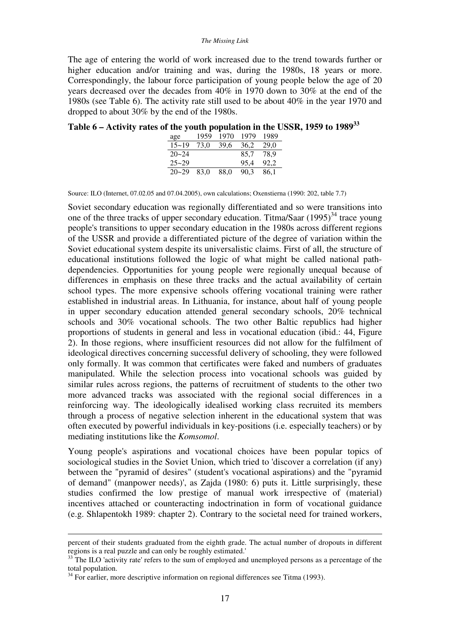#### *The Missing Link*

The age of entering the world of work increased due to the trend towards further or higher education and/or training and was, during the 1980s, 18 years or more. Correspondingly, the labour force participation of young people below the age of 20 years decreased over the decades from 40% in 1970 down to 30% at the end of the 1980s (see Table 6). The activity rate still used to be about 40% in the year 1970 and dropped to about 30% by the end of the 1980s.

**Table 6 – Activity rates of the youth population in the USSR, 1959 to 1989<sup>33</sup>**

| age       | 1959 | 1970 | 1979 | 1989 |
|-----------|------|------|------|------|
| $15 - 19$ | 73,0 | 39,6 | 36,2 | 29.0 |
| $20 - 24$ |      |      | 85.7 | 78.9 |
| $25 - 29$ |      |      | 95,4 | 92,2 |
| $20 - 29$ | 83.0 | 88.0 | 90.3 | 86,1 |

Source: ILO (Internet, 07.02.05 and 07.04.2005), own calculations; Oxenstierna (1990: 202, table 7.7)

Soviet secondary education was regionally differentiated and so were transitions into one of the three tracks of upper secondary education. Titma/Saar  $(1995)^{34}$  trace young people's transitions to upper secondary education in the 1980s across different regions of the USSR and provide a differentiated picture of the degree of variation within the Soviet educational system despite its universalistic claims. First of all, the structure of educational institutions followed the logic of what might be called national pathdependencies. Opportunities for young people were regionally unequal because of differences in emphasis on these three tracks and the actual availability of certain school types. The more expensive schools offering vocational training were rather established in industrial areas. In Lithuania, for instance, about half of young people in upper secondary education attended general secondary schools, 20% technical schools and 30% vocational schools. The two other Baltic republics had higher proportions of students in general and less in vocational education (ibid.: 44, Figure 2). In those regions, where insufficient resources did not allow for the fulfilment of ideological directives concerning successful delivery of schooling, they were followed only formally. It was common that certificates were faked and numbers of graduates manipulated. While the selection process into vocational schools was guided by similar rules across regions, the patterns of recruitment of students to the other two more advanced tracks was associated with the regional social differences in a reinforcing way. The ideologically idealised working class recruited its members through a process of negative selection inherent in the educational system that was often executed by powerful individuals in key-positions (i.e. especially teachers) or by mediating institutions like the *Komsomol*.

Young people's aspirations and vocational choices have been popular topics of sociological studies in the Soviet Union, which tried to 'discover a correlation (if any) between the "pyramid of desires" (student's vocational aspirations) and the "pyramid of demand" (manpower needs)', as Zajda (1980: 6) puts it. Little surprisingly, these studies confirmed the low prestige of manual work irrespective of (material) incentives attached or counteracting indoctrination in form of vocational guidance (e.g. Shlapentokh 1989: chapter 2). Contrary to the societal need for trained workers,

percent of their students graduated from the eighth grade. The actual number of dropouts in different regions is a real puzzle and can only be roughly estimated.'

<sup>33</sup> The ILO 'activity rate' refers to the sum of employed and unemployed persons as a percentage of the total population.

 $34$  For earlier, more descriptive information on regional differences see Titma (1993).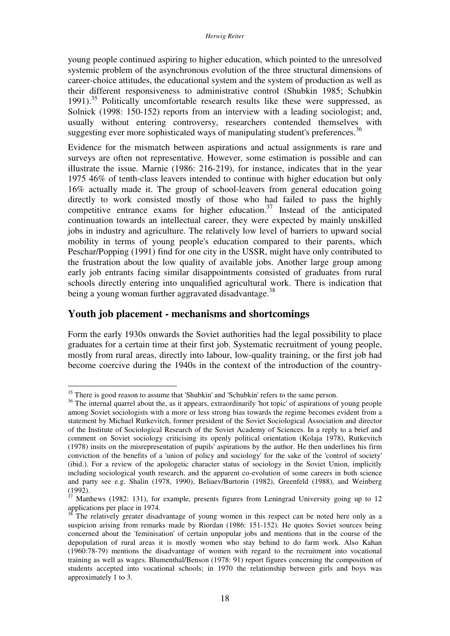young people continued aspiring to higher education, which pointed to the unresolved systemic problem of the asynchronous evolution of the three structural dimensions of career-choice attitudes, the educational system and the system of production as well as their different responsiveness to administrative control (Shubkin 1985; Schubkin 1991).<sup>35</sup> Politically uncomfortable research results like these were suppressed, as Solnick (1998: 150-152) reports from an interview with a leading sociologist; and, usually without entering controversy, researchers contended themselves with suggesting ever more sophisticated ways of manipulating student's preferences.<sup>36</sup>

Evidence for the mismatch between aspirations and actual assignments is rare and surveys are often not representative. However, some estimation is possible and can illustrate the issue. Marnie (1986: 216-219), for instance, indicates that in the year 1975 46% of tenth-class leavers intended to continue with higher education but only 16% actually made it. The group of school-leavers from general education going directly to work consisted mostly of those who had failed to pass the highly competitive entrance exams for higher education.<sup>37</sup> Instead of the anticipated continuation towards an intellectual career, they were expected by mainly unskilled jobs in industry and agriculture. The relatively low level of barriers to upward social mobility in terms of young people's education compared to their parents, which Peschar/Popping (1991) find for one city in the USSR, might have only contributed to the frustration about the low quality of available jobs. Another large group among early job entrants facing similar disappointments consisted of graduates from rural schools directly entering into unqualified agricultural work. There is indication that being a young woman further aggravated disadvantage.<sup>38</sup>

## **Youth job placement - mechanisms and shortcomings**

 $\overline{a}$ 

Form the early 1930s onwards the Soviet authorities had the legal possibility to place graduates for a certain time at their first job. Systematic recruitment of young people, mostly from rural areas, directly into labour, low-quality training, or the first job had become coercive during the 1940s in the context of the introduction of the country-

<sup>&</sup>lt;sup>35</sup> There is good reason to assume that 'Shubkin' and 'Schubkin' refers to the same person.

<sup>&</sup>lt;sup>36</sup> The internal quarrel about the, as it appears, extraordinarily 'hot topic' of aspirations of young people among Soviet sociologists with a more or less strong bias towards the regime becomes evident from a statement by Michael Rutkevitch, former president of the Soviet Sociological Association and director of the Institute of Sociological Research of the Soviet Academy of Sciences. In a reply to a brief and comment on Soviet sociology criticising its openly political orientation (Kolaja 1978), Rutkevitch (1978) insits on the misrepresentation of pupils' aspirations by the author. He then underlines his firm conviction of the benefits of a 'union of policy and sociology' for the sake of the 'control of society' (ibid.). For a review of the apologetic character status of sociology in the Soviet Union, implicitly including sociological youth research, and the apparent co-evolution of some careers in both science and party see e.g. Shalin (1978, 1990), Beliaev/Burtorin (1982), Greenfeld (1988), and Weinberg (1992).

 $37$  Matthews (1982: 131), for example, presents figures from Leningrad University going up to 12 applications per place in 1974.

The relatively greater disadvantage of young women in this respect can be noted here only as a suspicion arising from remarks made by Riordan (1986: 151-152). He quotes Soviet sources being concerned about the 'feminisation' of certain unpopular jobs and mentions that in the course of the depopulation of rural areas it is mostly women who stay behind to do farm work. Also Kahan (1960:78-79) mentions the disadvantage of women with regard to the recruitment into vocational training as well as wages. Blumenthal/Benson (1978: 91) report figures concerning the composition of students accepted into vocational schools; in 1970 the relationship between girls and boys was approximately 1 to 3.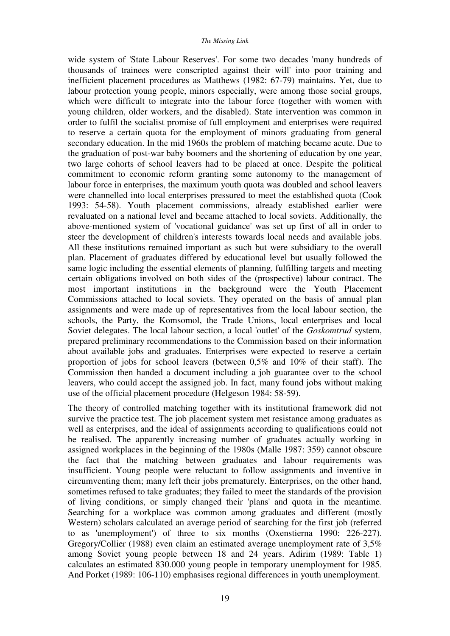wide system of 'State Labour Reserves'. For some two decades 'many hundreds of thousands of trainees were conscripted against their will' into poor training and inefficient placement procedures as Matthews (1982: 67-79) maintains. Yet, due to labour protection young people, minors especially, were among those social groups, which were difficult to integrate into the labour force (together with women with young children, older workers, and the disabled). State intervention was common in order to fulfil the socialist promise of full employment and enterprises were required to reserve a certain quota for the employment of minors graduating from general secondary education. In the mid 1960s the problem of matching became acute. Due to the graduation of post-war baby boomers and the shortening of education by one year, two large cohorts of school leavers had to be placed at once. Despite the political commitment to economic reform granting some autonomy to the management of labour force in enterprises, the maximum youth quota was doubled and school leavers were channelled into local enterprises pressured to meet the established quota (Cook 1993: 54-58). Youth placement commissions, already established earlier were revaluated on a national level and became attached to local soviets. Additionally, the above-mentioned system of 'vocational guidance' was set up first of all in order to steer the development of children's interests towards local needs and available jobs. All these institutions remained important as such but were subsidiary to the overall plan. Placement of graduates differed by educational level but usually followed the same logic including the essential elements of planning, fulfilling targets and meeting certain obligations involved on both sides of the (prospective) labour contract. The most important institutions in the background were the Youth Placement Commissions attached to local soviets. They operated on the basis of annual plan assignments and were made up of representatives from the local labour section, the schools, the Party, the Komsomol, the Trade Unions, local enterprises and local Soviet delegates. The local labour section, a local 'outlet' of the *Goskomtrud* system, prepared preliminary recommendations to the Commission based on their information about available jobs and graduates. Enterprises were expected to reserve a certain proportion of jobs for school leavers (between 0,5% and 10% of their staff). The Commission then handed a document including a job guarantee over to the school leavers, who could accept the assigned job. In fact, many found jobs without making use of the official placement procedure (Helgeson 1984: 58-59).

The theory of controlled matching together with its institutional framework did not survive the practice test. The job placement system met resistance among graduates as well as enterprises, and the ideal of assignments according to qualifications could not be realised. The apparently increasing number of graduates actually working in assigned workplaces in the beginning of the 1980s (Malle 1987: 359) cannot obscure the fact that the matching between graduates and labour requirements was insufficient. Young people were reluctant to follow assignments and inventive in circumventing them; many left their jobs prematurely. Enterprises, on the other hand, sometimes refused to take graduates; they failed to meet the standards of the provision of living conditions, or simply changed their 'plans' and quota in the meantime. Searching for a workplace was common among graduates and different (mostly Western) scholars calculated an average period of searching for the first job (referred to as 'unemployment') of three to six months (Oxenstierna 1990: 226-227). Gregory/Collier (1988) even claim an estimated average unemployment rate of 3,5% among Soviet young people between 18 and 24 years. Adirim (1989: Table 1) calculates an estimated 830.000 young people in temporary unemployment for 1985. And Porket (1989: 106-110) emphasises regional differences in youth unemployment.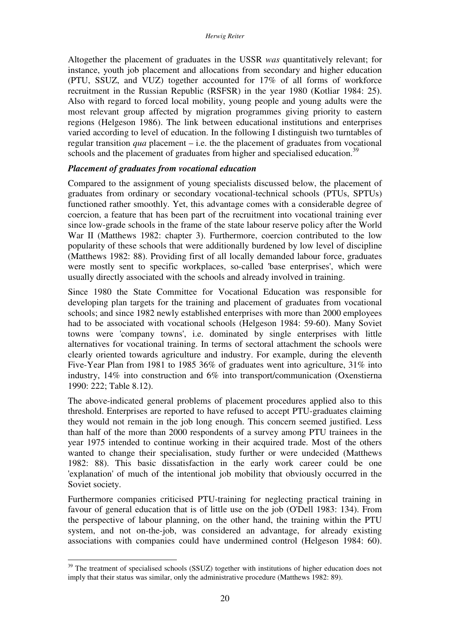Altogether the placement of graduates in the USSR *was* quantitatively relevant; for instance, youth job placement and allocations from secondary and higher education (PTU, SSUZ, and VUZ) together accounted for 17% of all forms of workforce recruitment in the Russian Republic (RSFSR) in the year 1980 (Kotliar 1984: 25). Also with regard to forced local mobility, young people and young adults were the most relevant group affected by migration programmes giving priority to eastern regions (Helgeson 1986). The link between educational institutions and enterprises varied according to level of education. In the following I distinguish two turntables of regular transition *qua* placement – i.e. the the placement of graduates from vocational schools and the placement of graduates from higher and specialised education.<sup>39</sup>

#### *Placement of graduates from vocational education*

Compared to the assignment of young specialists discussed below, the placement of graduates from ordinary or secondary vocational-technical schools (PTUs, SPTUs) functioned rather smoothly. Yet, this advantage comes with a considerable degree of coercion, a feature that has been part of the recruitment into vocational training ever since low-grade schools in the frame of the state labour reserve policy after the World War II (Matthews 1982: chapter 3). Furthermore, coercion contributed to the low popularity of these schools that were additionally burdened by low level of discipline (Matthews 1982: 88). Providing first of all locally demanded labour force, graduates were mostly sent to specific workplaces, so-called 'base enterprises', which were usually directly associated with the schools and already involved in training.

Since 1980 the State Committee for Vocational Education was responsible for developing plan targets for the training and placement of graduates from vocational schools; and since 1982 newly established enterprises with more than 2000 employees had to be associated with vocational schools (Helgeson 1984: 59-60). Many Soviet towns were 'company towns', i.e. dominated by single enterprises with little alternatives for vocational training. In terms of sectoral attachment the schools were clearly oriented towards agriculture and industry. For example, during the eleventh Five-Year Plan from 1981 to 1985 36% of graduates went into agriculture, 31% into industry, 14% into construction and 6% into transport/communication (Oxenstierna 1990: 222; Table 8.12).

The above-indicated general problems of placement procedures applied also to this threshold. Enterprises are reported to have refused to accept PTU-graduates claiming they would not remain in the job long enough. This concern seemed justified. Less than half of the more than 2000 respondents of a survey among PTU trainees in the year 1975 intended to continue working in their acquired trade. Most of the others wanted to change their specialisation, study further or were undecided (Matthews 1982: 88). This basic dissatisfaction in the early work career could be one 'explanation' of much of the intentional job mobility that obviously occurred in the Soviet society.

Furthermore companies criticised PTU-training for neglecting practical training in favour of general education that is of little use on the job (O'Dell 1983: 134). From the perspective of labour planning, on the other hand, the training within the PTU system, and not on-the-job, was considered an advantage, for already existing associations with companies could have undermined control (Helgeson 1984: 60).

 $39$  The treatment of specialised schools (SSUZ) together with institutions of higher education does not imply that their status was similar, only the administrative procedure (Matthews 1982: 89).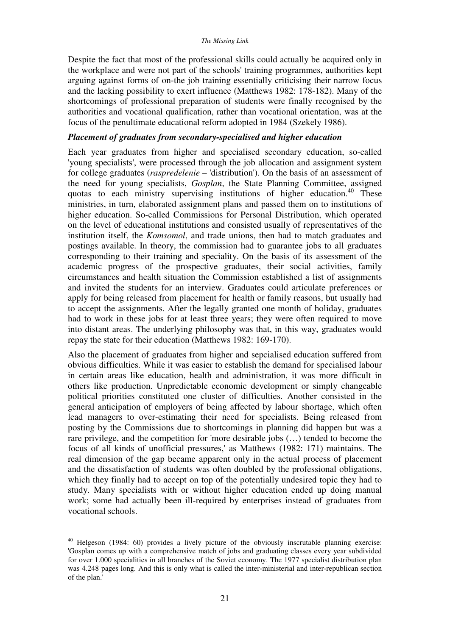Despite the fact that most of the professional skills could actually be acquired only in the workplace and were not part of the schools' training programmes, authorities kept arguing against forms of on-the job training essentially criticising their narrow focus and the lacking possibility to exert influence (Matthews 1982: 178-182). Many of the shortcomings of professional preparation of students were finally recognised by the authorities and vocational qualification, rather than vocational orientation, was at the focus of the penultimate educational reform adopted in 1984 (Szekely 1986).

## *Placement of graduates from secondary-specialised and higher education*

Each year graduates from higher and specialised secondary education, so-called 'young specialists', were processed through the job allocation and assignment system for college graduates (*raspredelenie* – 'distribution'). On the basis of an assessment of the need for young specialists, *Gosplan*, the State Planning Committee, assigned quotas to each ministry supervising institutions of higher education.<sup>40</sup> These ministries, in turn, elaborated assignment plans and passed them on to institutions of higher education. So-called Commissions for Personal Distribution, which operated on the level of educational institutions and consisted usually of representatives of the institution itself, the *Komsomol*, and trade unions, then had to match graduates and postings available. In theory, the commission had to guarantee jobs to all graduates corresponding to their training and speciality. On the basis of its assessment of the academic progress of the prospective graduates, their social activities, family circumstances and health situation the Commission established a list of assignments and invited the students for an interview. Graduates could articulate preferences or apply for being released from placement for health or family reasons, but usually had to accept the assignments. After the legally granted one month of holiday, graduates had to work in these jobs for at least three years; they were often required to move into distant areas. The underlying philosophy was that, in this way, graduates would repay the state for their education (Matthews 1982: 169-170).

Also the placement of graduates from higher and sepcialised education suffered from obvious difficulties. While it was easier to establish the demand for specialised labour in certain areas like education, health and administration, it was more difficult in others like production. Unpredictable economic development or simply changeable political priorities constituted one cluster of difficulties. Another consisted in the general anticipation of employers of being affected by labour shortage, which often lead managers to over-estimating their need for specialists. Being released from posting by the Commissions due to shortcomings in planning did happen but was a rare privilege, and the competition for 'more desirable jobs (…) tended to become the focus of all kinds of unofficial pressures,' as Matthews (1982: 171) maintains. The real dimension of the gap became apparent only in the actual process of placement and the dissatisfaction of students was often doubled by the professional obligations, which they finally had to accept on top of the potentially undesired topic they had to study. Many specialists with or without higher education ended up doing manual work; some had actually been ill-required by enterprises instead of graduates from vocational schools.

 $40$  Helgeson (1984: 60) provides a lively picture of the obviously inscrutable planning exercise: 'Gosplan comes up with a comprehensive match of jobs and graduating classes every year subdivided for over 1.000 specialities in all branches of the Soviet economy. The 1977 specialist distribution plan was 4.248 pages long. And this is only what is called the inter-ministerial and inter-republican section of the plan.'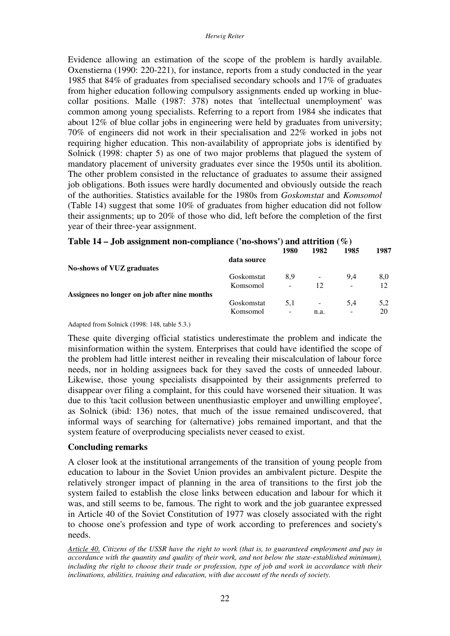Evidence allowing an estimation of the scope of the problem is hardly available. Oxenstierna (1990: 220-221), for instance, reports from a study conducted in the year 1985 that 84% of graduates from specialised secondary schools and 17% of graduates from higher education following compulsory assignments ended up working in bluecollar positions. Malle (1987: 378) notes that 'intellectual unemployment' was common among young specialists. Referring to a report from 1984 she indicates that about 12% of blue collar jobs in engineering were held by graduates from university; 70% of engineers did not work in their specialisation and 22% worked in jobs not requiring higher education. This non-availability of appropriate jobs is identified by Solnick (1998: chapter 5) as one of two major problems that plagued the system of mandatory placement of university graduates ever since the 1950s until its abolition. The other problem consisted in the reluctance of graduates to assume their assigned job obligations. Both issues were hardly documented and obviously outside the reach of the authorities. Statistics available for the 1980s from *Goskomstat* and *Komsomol* (Table 14) suggest that some 10% of graduates from higher education did not follow their assignments; up to 20% of those who did, left before the completion of the first year of their three-year assignment.

| 1980 | 1982                                                            | 1985 | 1987 |
|------|-----------------------------------------------------------------|------|------|
|      |                                                                 |      |      |
|      |                                                                 |      |      |
| 8.9  |                                                                 | 9.4  | 8,0  |
| -    | 12                                                              | -    | 12   |
|      |                                                                 |      |      |
| 5.1  |                                                                 | 5.4  | 5,2  |
| -    | n.a.                                                            | -    | 20   |
|      | data source<br>Goskomstat<br>Komsomol<br>Goskomstat<br>Komsomol |      |      |

| Table 14 – Job assignment non-compliance ('no-shows') and attrition $(\%)$ |  |
|----------------------------------------------------------------------------|--|
|----------------------------------------------------------------------------|--|

#### Adapted from Solnick (1998: 148, table 5.3.)

These quite diverging official statistics underestimate the problem and indicate the misinformation within the system. Enterprises that could have identified the scope of the problem had little interest neither in revealing their miscalculation of labour force needs, nor in holding assignees back for they saved the costs of unneeded labour. Likewise, those young specialists disappointed by their assignments preferred to disappear over filing a complaint, for this could have worsened their situation. It was due to this 'tacit collusion between unenthusiastic employer and unwilling employee', as Solnick (ibid: 136) notes, that much of the issue remained undiscovered, that informal ways of searching for (alternative) jobs remained important, and that the system feature of overproducing specialists never ceased to exist.

## **Concluding remarks**

A closer look at the institutional arrangements of the transition of young people from education to labour in the Soviet Union provides an ambivalent picture. Despite the relatively stronger impact of planning in the area of transitions to the first job the system failed to establish the close links between education and labour for which it was, and still seems to be, famous. The right to work and the job guarantee expressed in Article 40 of the Soviet Constitution of 1977 was closely associated with the right to choose one's profession and type of work according to preferences and society's needs.

*Article 40. Citizens of the USSR have the right to work (that is, to guaranteed employment and pay in accordance with the quantity and quality of their work, and not below the state-established minimum), including the right to choose their trade or profession, type of job and work in accordance with their inclinations, abilities, training and education, with due account of the needs of society.*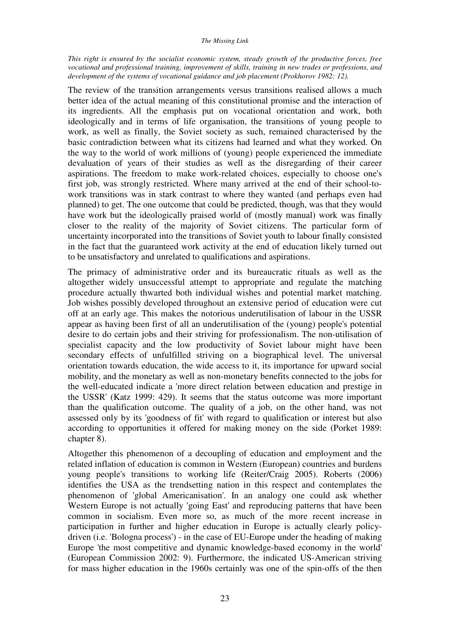#### *The Missing Link*

*This right is ensured by the socialist economic system, steady growth of the productive forces, free vocational and professional training, improvement of skills, training in new trades or professions, and*  development of the systems of vocational guidance and job placement (Prokhorov 1982: 12).

The review of the transition arrangements versus transitions realised allows a much better idea of the actual meaning of this constitutional promise and the interaction of its ingredients. All the emphasis put on vocational orientation and work, both ideologically and in terms of life organisation, the transitions of young people to work, as well as finally, the Soviet society as such, remained characterised by the basic contradiction between what its citizens had learned and what they worked. On the way to the world of work millions of (young) people experienced the immediate devaluation of years of their studies as well as the disregarding of their career aspirations. The freedom to make work-related choices, especially to choose one's first job, was strongly restricted. Where many arrived at the end of their school-towork transitions was in stark contrast to where they wanted (and perhaps even had planned) to get. The one outcome that could be predicted, though, was that they would have work but the ideologically praised world of (mostly manual) work was finally closer to the reality of the majority of Soviet citizens. The particular form of uncertainty incorporated into the transitions of Soviet youth to labour finally consisted in the fact that the guaranteed work activity at the end of education likely turned out to be unsatisfactory and unrelated to qualifications and aspirations.

The primacy of administrative order and its bureaucratic rituals as well as the altogether widely unsuccessful attempt to appropriate and regulate the matching procedure actually thwarted both individual wishes and potential market matching. Job wishes possibly developed throughout an extensive period of education were cut off at an early age. This makes the notorious underutilisation of labour in the USSR appear as having been first of all an underutilisation of the (young) people's potential desire to do certain jobs and their striving for professionalism. The non-utilisation of specialist capacity and the low productivity of Soviet labour might have been secondary effects of unfulfilled striving on a biographical level. The universal orientation towards education, the wide access to it, its importance for upward social mobility, and the monetary as well as non-monetary benefits connected to the jobs for the well-educated indicate a 'more direct relation between education and prestige in the USSR' (Katz 1999: 429). It seems that the status outcome was more important than the qualification outcome. The quality of a job, on the other hand, was not assessed only by its 'goodness of fit' with regard to qualification or interest but also according to opportunities it offered for making money on the side (Porket 1989: chapter 8).

Altogether this phenomenon of a decoupling of education and employment and the related inflation of education is common in Western (European) countries and burdens young people's transitions to working life (Reiter/Craig 2005). Roberts (2006) identifies the USA as the trendsetting nation in this respect and contemplates the phenomenon of 'global Americanisation'. In an analogy one could ask whether Western Europe is not actually 'going East' and reproducing patterns that have been common in socialism. Even more so, as much of the more recent increase in participation in further and higher education in Europe is actually clearly policydriven (i.e. 'Bologna process') - in the case of EU-Europe under the heading of making Europe 'the most competitive and dynamic knowledge-based economy in the world' (European Commission 2002: 9). Furthermore, the indicated US-American striving for mass higher education in the 1960s certainly was one of the spin-offs of the then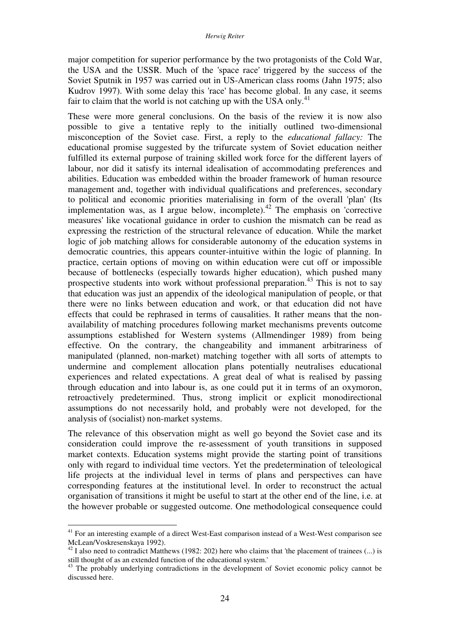major competition for superior performance by the two protagonists of the Cold War, the USA and the USSR. Much of the 'space race' triggered by the success of the Soviet Sputnik in 1957 was carried out in US-American class rooms (Jahn 1975; also Kudrov 1997). With some delay this 'race' has become global. In any case, it seems fair to claim that the world is not catching up with the USA only.<sup>41</sup>

These were more general conclusions. On the basis of the review it is now also possible to give a tentative reply to the initially outlined two-dimensional misconception of the Soviet case. First, a reply to the *educational fallacy:* The educational promise suggested by the trifurcate system of Soviet education neither fulfilled its external purpose of training skilled work force for the different layers of labour, nor did it satisfy its internal idealisation of accommodating preferences and abilities. Education was embedded within the broader framework of human resource management and, together with individual qualifications and preferences, secondary to political and economic priorities materialising in form of the overall 'plan' (Its implementation was, as I argue below, incomplete).<sup>42</sup> The emphasis on 'corrective measures' like vocational guidance in order to cushion the mismatch can be read as expressing the restriction of the structural relevance of education. While the market logic of job matching allows for considerable autonomy of the education systems in democratic countries, this appears counter-intuitive within the logic of planning. In practice, certain options of moving on within education were cut off or impossible because of bottlenecks (especially towards higher education), which pushed many prospective students into work without professional preparation.<sup>43</sup> This is not to say that education was just an appendix of the ideological manipulation of people, or that there were no links between education and work, or that education did not have effects that could be rephrased in terms of causalities. It rather means that the nonavailability of matching procedures following market mechanisms prevents outcome assumptions established for Western systems (Allmendinger 1989) from being effective. On the contrary, the changeability and immanent arbitrariness of manipulated (planned, non-market) matching together with all sorts of attempts to undermine and complement allocation plans potentially neutralises educational experiences and related expectations. A great deal of what is realised by passing through education and into labour is, as one could put it in terms of an oxymoron, retroactively predetermined. Thus, strong implicit or explicit monodirectional assumptions do not necessarily hold, and probably were not developed, for the analysis of (socialist) non-market systems.

The relevance of this observation might as well go beyond the Soviet case and its consideration could improve the re-assessment of youth transitions in supposed market contexts. Education systems might provide the starting point of transitions only with regard to individual time vectors. Yet the predetermination of teleological life projects at the individual level in terms of plans and perspectives can have corresponding features at the institutional level. In order to reconstruct the actual organisation of transitions it might be useful to start at the other end of the line, i.e. at the however probable or suggested outcome. One methodological consequence could

<sup>&</sup>lt;sup>41</sup> For an interesting example of a direct West-East comparison instead of a West-West comparison see McLean/Voskresenskaya 1992).

 $42$  I also need to contradict Matthews (1982: 202) here who claims that 'the placement of trainees (...) is still thought of as an extended function of the educational system.'

 $43$  The probably underlying contradictions in the development of Soviet economic policy cannot be discussed here.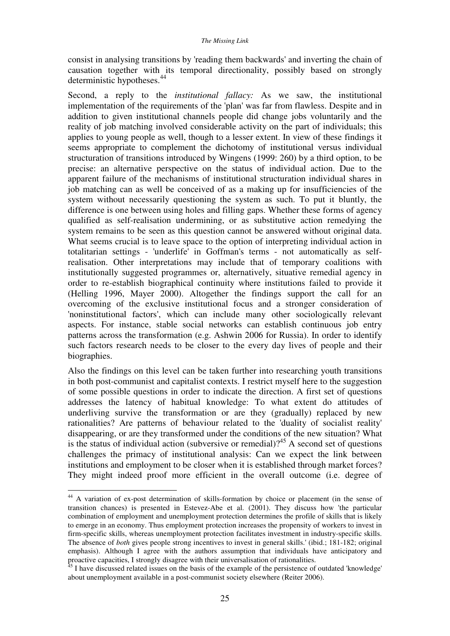consist in analysing transitions by 'reading them backwards' and inverting the chain of causation together with its temporal directionality, possibly based on strongly deterministic hypotheses.<sup>44</sup>

Second, a reply to the *institutional fallacy:* As we saw, the institutional implementation of the requirements of the 'plan' was far from flawless. Despite and in addition to given institutional channels people did change jobs voluntarily and the reality of job matching involved considerable activity on the part of individuals; this applies to young people as well, though to a lesser extent. In view of these findings it seems appropriate to complement the dichotomy of institutional versus individual structuration of transitions introduced by Wingens (1999: 260) by a third option, to be precise: an alternative perspective on the status of individual action. Due to the apparent failure of the mechanisms of institutional structuration individual shares in job matching can as well be conceived of as a making up for insufficiencies of the system without necessarily questioning the system as such. To put it bluntly, the difference is one between using holes and filling gaps. Whether these forms of agency qualified as self-realisation undermining, or as substitutive action remedying the system remains to be seen as this question cannot be answered without original data. What seems crucial is to leave space to the option of interpreting individual action in totalitarian settings - 'underlife' in Goffman's terms - not automatically as selfrealisation. Other interpretations may include that of temporary coalitions with institutionally suggested programmes or, alternatively, situative remedial agency in order to re-establish biographical continuity where institutions failed to provide it (Helling 1996, Mayer 2000). Altogether the findings support the call for an overcoming of the exclusive institutional focus and a stronger consideration of 'noninstitutional factors', which can include many other sociologically relevant aspects. For instance, stable social networks can establish continuous job entry patterns across the transformation (e.g. Ashwin 2006 for Russia). In order to identify such factors research needs to be closer to the every day lives of people and their biographies.

Also the findings on this level can be taken further into researching youth transitions in both post-communist and capitalist contexts. I restrict myself here to the suggestion of some possible questions in order to indicate the direction. A first set of questions addresses the latency of habitual knowledge: To what extent do attitudes of underliving survive the transformation or are they (gradually) replaced by new rationalities? Are patterns of behaviour related to the 'duality of socialist reality' disappearing, or are they transformed under the conditions of the new situation? What is the status of individual action (subversive or remedial)?<sup>45</sup> A second set of questions challenges the primacy of institutional analysis: Can we expect the link between institutions and employment to be closer when it is established through market forces? They might indeed proof more efficient in the overall outcome (i.e. degree of

<sup>&</sup>lt;sup>44</sup> A variation of ex-post determination of skills-formation by choice or placement (in the sense of transition chances) is presented in Estevez-Abe et al. (2001). They discuss how 'the particular combination of employment and unemployment protection determines the profile of skills that is likely to emerge in an economy. Thus employment protection increases the propensity of workers to invest in firm-specific skills, whereas unemployment protection facilitates investment in industry-specific skills. The absence of *both* gives people strong incentives to invest in general skills.' (ibid.; 181-182; original emphasis). Although I agree with the authors assumption that individuals have anticipatory and proactive capacities, I strongly disagree with their universalisation of rationalities.

<sup>&</sup>lt;sup>45</sup> I have discussed related issues on the basis of the example of the persistence of outdated 'knowledge' about unemployment available in a post-communist society elsewhere (Reiter 2006).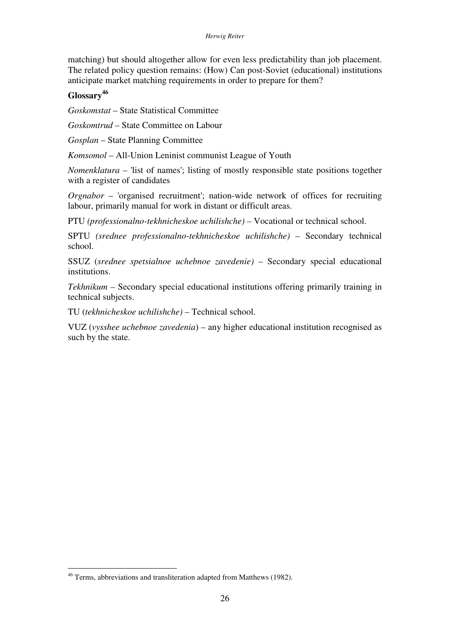#### *Herwig Reiter*

matching) but should altogether allow for even less predictability than job placement. The related policy question remains: (How) Can post-Soviet (educational) institutions anticipate market matching requirements in order to prepare for them?

## **Glossary<sup>46</sup>**

*Goskomstat* – State Statistical Committee

*Goskomtrud* – State Committee on Labour

*Gosplan* – State Planning Committee

*Komsomol* – All-Union Leninist communist League of Youth

*Nomenklatura* – 'list of names'; listing of mostly responsible state positions together with a register of candidates

*Orgnabor* – 'organised recruitment'; nation-wide network of offices for recruiting labour, primarily manual for work in distant or difficult areas.

PTU *(professionalno-tekhnicheskoe uchilishche) –* Vocational or technical school.

SPTU *(srednee professionalno-tekhnicheskoe uchilishche) –* Secondary technical school.

SSUZ (*srednee spetsialnoe uchebnoe zavedenie)* – Secondary special educational institutions.

*Tekhnikum –* Secondary special educational institutions offering primarily training in technical subjects.

TU (*tekhnicheskoe uchilishche)* – Technical school.

VUZ (*vysshee uchebnoe zavedenia*) – any higher educational institution recognised as such by the state.

<sup>46</sup> Terms, abbreviations and transliteration adapted from Matthews (1982).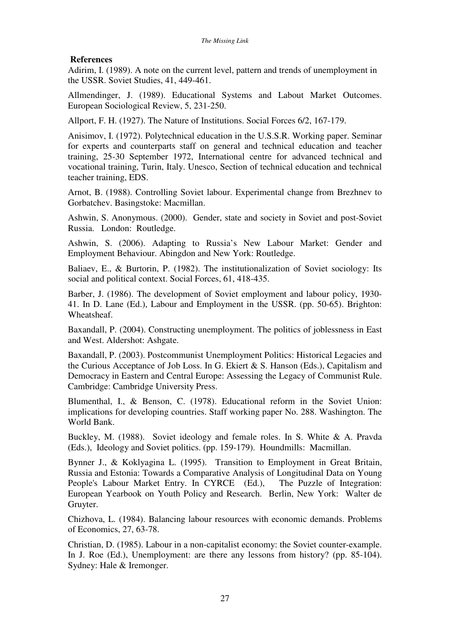## **References**

Adirim, I. (1989). A note on the current level, pattern and trends of unemployment in the USSR. Soviet Studies, 41, 449-461.

Allmendinger, J. (1989). Educational Systems and Labout Market Outcomes. European Sociological Review, 5, 231-250.

Allport, F. H. (1927). The Nature of Institutions. Social Forces 6/2, 167-179.

Anisimov, I. (1972). Polytechnical education in the U.S.S.R. Working paper. Seminar for experts and counterparts staff on general and technical education and teacher training, 25-30 September 1972, International centre for advanced technical and vocational training, Turin, Italy. Unesco, Section of technical education and technical teacher training, EDS.

Arnot, B. (1988). Controlling Soviet labour. Experimental change from Brezhnev to Gorbatchev. Basingstoke: Macmillan.

Ashwin, S. Anonymous. (2000). Gender, state and society in Soviet and post-Soviet Russia. London: Routledge.

Ashwin, S. (2006). Adapting to Russia's New Labour Market: Gender and Employment Behaviour. Abingdon and New York: Routledge.

Baliaev, E., & Burtorin, P. (1982). The institutionalization of Soviet sociology: Its social and political context. Social Forces, 61, 418-435.

Barber, J. (1986). The development of Soviet employment and labour policy, 1930- 41. In D. Lane (Ed.), Labour and Employment in the USSR. (pp. 50-65). Brighton: Wheatsheaf.

Baxandall, P. (2004). Constructing unemployment. The politics of joblessness in East and West. Aldershot: Ashgate.

Baxandall, P. (2003). Postcommunist Unemployment Politics: Historical Legacies and the Curious Acceptance of Job Loss. In G. Ekiert & S. Hanson (Eds.), Capitalism and Democracy in Eastern and Central Europe: Assessing the Legacy of Communist Rule. Cambridge: Cambridge University Press.

Blumenthal, I., & Benson, C. (1978). Educational reform in the Soviet Union: implications for developing countries. Staff working paper No. 288. Washington. The World Bank.

Buckley, M. (1988). Soviet ideology and female roles. In S. White & A. Pravda (Eds.), Ideology and Soviet politics. (pp. 159-179). Houndmills: Macmillan.

Bynner J., & Koklyagina L. (1995). Transition to Employment in Great Britain, Russia and Estonia: Towards a Comparative Analysis of Longitudinal Data on Young People's Labour Market Entry. In CYRCE (Ed.), The Puzzle of Integration: European Yearbook on Youth Policy and Research. Berlin, New York: Walter de Gruyter.

Chizhova, L. (1984). Balancing labour resources with economic demands. Problems of Economics, 27, 63-78.

Christian, D. (1985). Labour in a non-capitalist economy: the Soviet counter-example. In J. Roe (Ed.), Unemployment: are there any lessons from history? (pp. 85-104). Sydney: Hale & Iremonger.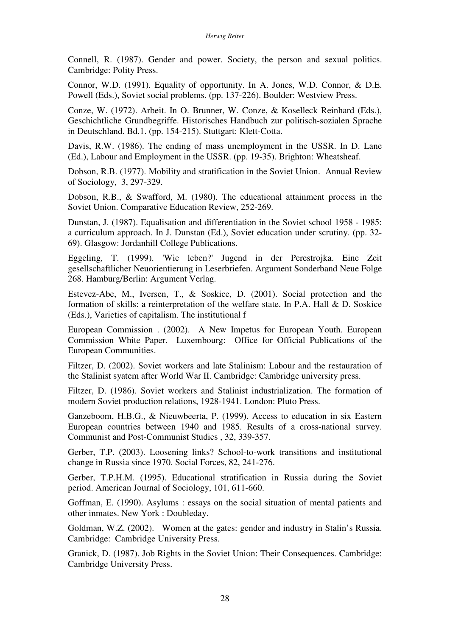Connell, R. (1987). Gender and power. Society, the person and sexual politics. Cambridge: Polity Press.

Connor, W.D. (1991). Equality of opportunity. In A. Jones, W.D. Connor, & D.E. Powell (Eds.), Soviet social problems. (pp. 137-226). Boulder: Westview Press.

Conze, W. (1972). Arbeit. In O. Brunner, W. Conze, & Koselleck Reinhard (Eds.), Geschichtliche Grundbegriffe. Historisches Handbuch zur politisch-sozialen Sprache in Deutschland. Bd.1. (pp. 154-215). Stuttgart: Klett-Cotta.

Davis, R.W. (1986). The ending of mass unemployment in the USSR. In D. Lane (Ed.), Labour and Employment in the USSR. (pp. 19-35). Brighton: Wheatsheaf.

Dobson, R.B. (1977). Mobility and stratification in the Soviet Union. Annual Review of Sociology, 3, 297-329.

Dobson, R.B., & Swafford, M. (1980). The educational attainment process in the Soviet Union. Comparative Education Review, 252-269.

Dunstan, J. (1987). Equalisation and differentiation in the Soviet school 1958 - 1985: a curriculum approach. In J. Dunstan (Ed.), Soviet education under scrutiny. (pp. 32- 69). Glasgow: Jordanhill College Publications.

Eggeling, T. (1999). 'Wie leben?' Jugend in der Perestrojka. Eine Zeit gesellschaftlicher Neuorientierung in Leserbriefen. Argument Sonderband Neue Folge 268. Hamburg/Berlin: Argument Verlag.

Estevez-Abe, M., Iversen, T., & Soskice, D. (2001). Social protection and the formation of skills: a reinterpretation of the welfare state. In P.A. Hall & D. Soskice (Eds.), Varieties of capitalism. The institutional f

European Commission . (2002). A New Impetus for European Youth. European Commission White Paper. Luxembourg: Office for Official Publications of the European Communities.

Filtzer, D. (2002). Soviet workers and late Stalinism: Labour and the restauration of the Stalinist syatem after World War II. Cambridge: Cambridge university press.

Filtzer, D. (1986). Soviet workers and Stalinist industrialization. The formation of modern Soviet production relations, 1928-1941. London: Pluto Press.

Ganzeboom, H.B.G., & Nieuwbeerta, P. (1999). Access to education in six Eastern European countries between 1940 and 1985. Results of a cross-national survey. Communist and Post-Communist Studies , 32, 339-357.

Gerber, T.P. (2003). Loosening links? School-to-work transitions and institutional change in Russia since 1970. Social Forces, 82, 241-276.

Gerber, T.P.H.M. (1995). Educational stratification in Russia during the Soviet period. American Journal of Sociology, 101, 611-660.

Goffman, E. (1990). Asylums : essays on the social situation of mental patients and other inmates. New York : Doubleday.

Goldman, W.Z. (2002). Women at the gates: gender and industry in Stalin's Russia. Cambridge: Cambridge University Press.

Granick, D. (1987). Job Rights in the Soviet Union: Their Consequences. Cambridge: Cambridge University Press.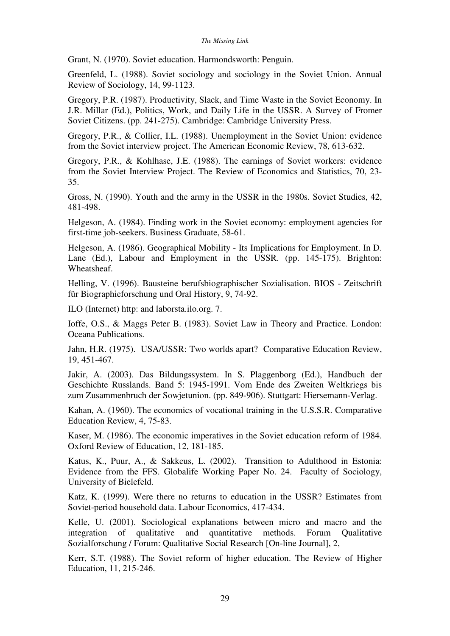Grant, N. (1970). Soviet education. Harmondsworth: Penguin.

Greenfeld, L. (1988). Soviet sociology and sociology in the Soviet Union. Annual Review of Sociology, 14, 99-1123.

Gregory, P.R. (1987). Productivity, Slack, and Time Waste in the Soviet Economy. In J.R. Millar (Ed.), Politics, Work, and Daily Life in the USSR. A Survey of Fromer Soviet Citizens. (pp. 241-275). Cambridge: Cambridge University Press.

Gregory, P.R., & Collier, I.L. (1988). Unemployment in the Soviet Union: evidence from the Soviet interview project. The American Economic Review, 78, 613-632.

Gregory, P.R., & Kohlhase, J.E. (1988). The earnings of Soviet workers: evidence from the Soviet Interview Project. The Review of Economics and Statistics, 70, 23- 35.

Gross, N. (1990). Youth and the army in the USSR in the 1980s. Soviet Studies, 42, 481-498.

Helgeson, A. (1984). Finding work in the Soviet economy: employment agencies for first-time job-seekers. Business Graduate, 58-61.

Helgeson, A. (1986). Geographical Mobility - Its Implications for Employment. In D. Lane (Ed.), Labour and Employment in the USSR. (pp. 145-175). Brighton: Wheatsheaf.

Helling, V. (1996). Bausteine berufsbiographischer Sozialisation. BIOS - Zeitschrift für Biographieforschung und Oral History, 9, 74-92.

ILO (Internet) http: and laborsta.ilo.org. 7.

Ioffe, O.S., & Maggs Peter B. (1983). Soviet Law in Theory and Practice. London: Oceana Publications.

Jahn, H.R. (1975). USA/USSR: Two worlds apart? Comparative Education Review, 19, 451-467.

Jakir, A. (2003). Das Bildungssystem. In S. Plaggenborg (Ed.), Handbuch der Geschichte Russlands. Band 5: 1945-1991. Vom Ende des Zweiten Weltkriegs bis zum Zusammenbruch der Sowjetunion. (pp. 849-906). Stuttgart: Hiersemann-Verlag.

Kahan, A. (1960). The economics of vocational training in the U.S.S.R. Comparative Education Review, 4, 75-83.

Kaser, M. (1986). The economic imperatives in the Soviet education reform of 1984. Oxford Review of Education, 12, 181-185.

Katus, K., Puur, A., & Sakkeus, L. (2002). Transition to Adulthood in Estonia: Evidence from the FFS. Globalife Working Paper No. 24. Faculty of Sociology, University of Bielefeld.

Katz, K. (1999). Were there no returns to education in the USSR? Estimates from Soviet-period household data. Labour Economics, 417-434.

Kelle, U. (2001). Sociological explanations between micro and macro and the integration of qualitative and quantitative methods. Forum Qualitative Sozialforschung / Forum: Qualitative Social Research [On-line Journal], 2,

Kerr, S.T. (1988). The Soviet reform of higher education. The Review of Higher Education, 11, 215-246.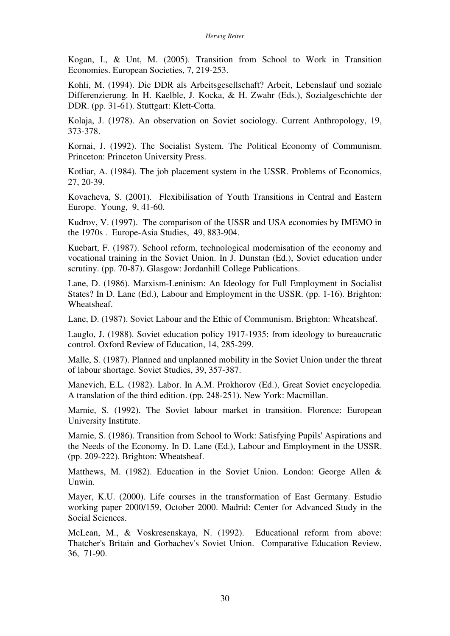Kogan, I., & Unt, M. (2005). Transition from School to Work in Transition Economies. European Societies, 7, 219-253.

Kohli, M. (1994). Die DDR als Arbeitsgesellschaft? Arbeit, Lebenslauf und soziale Differenzierung. In H. Kaelble, J. Kocka, & H. Zwahr (Eds.), Sozialgeschichte der DDR. (pp. 31-61). Stuttgart: Klett-Cotta.

Kolaja, J. (1978). An observation on Soviet sociology. Current Anthropology, 19, 373-378.

Kornai, J. (1992). The Socialist System. The Political Economy of Communism. Princeton: Princeton University Press.

Kotliar, A. (1984). The job placement system in the USSR. Problems of Economics, 27, 20-39.

Kovacheva, S. (2001). Flexibilisation of Youth Transitions in Central and Eastern Europe. Young, 9, 41-60.

Kudrov, V. (1997). The comparison of the USSR and USA economies by IMEMO in the 1970s . Europe-Asia Studies, 49, 883-904.

Kuebart, F. (1987). School reform, technological modernisation of the economy and vocational training in the Soviet Union. In J. Dunstan (Ed.), Soviet education under scrutiny. (pp. 70-87). Glasgow: Jordanhill College Publications.

Lane, D. (1986). Marxism-Leninism: An Ideology for Full Employment in Socialist States? In D. Lane (Ed.), Labour and Employment in the USSR. (pp. 1-16). Brighton: Wheatsheaf.

Lane, D. (1987). Soviet Labour and the Ethic of Communism. Brighton: Wheatsheaf.

Lauglo, J. (1988). Soviet education policy 1917-1935: from ideology to bureaucratic control. Oxford Review of Education, 14, 285-299.

Malle, S. (1987). Planned and unplanned mobility in the Soviet Union under the threat of labour shortage. Soviet Studies, 39, 357-387.

Manevich, E.L. (1982). Labor. In A.M. Prokhorov (Ed.), Great Soviet encyclopedia. A translation of the third edition. (pp. 248-251). New York: Macmillan.

Marnie, S. (1992). The Soviet labour market in transition. Florence: European University Institute.

Marnie, S. (1986). Transition from School to Work: Satisfying Pupils' Aspirations and the Needs of the Economy. In D. Lane (Ed.), Labour and Employment in the USSR. (pp. 209-222). Brighton: Wheatsheaf.

Matthews, M. (1982). Education in the Soviet Union. London: George Allen & Unwin.

Mayer, K.U. (2000). Life courses in the transformation of East Germany. Estudio working paper 2000/159, October 2000. Madrid: Center for Advanced Study in the Social Sciences.

McLean, M., & Voskresenskaya, N. (1992). Educational reform from above: Thatcher's Britain and Gorbachev's Soviet Union. Comparative Education Review, 36, 71-90.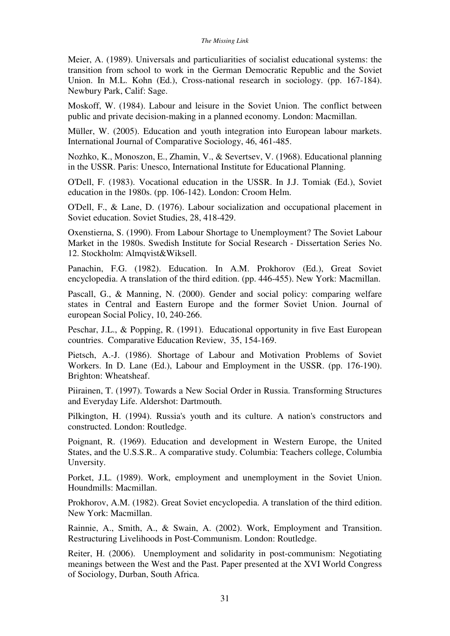Meier, A. (1989). Universals and particuliarities of socialist educational systems: the transition from school to work in the German Democratic Republic and the Soviet Union. In M.L. Kohn (Ed.), Cross-national research in sociology. (pp. 167-184). Newbury Park, Calif: Sage.

Moskoff, W. (1984). Labour and leisure in the Soviet Union. The conflict between public and private decision-making in a planned economy. London: Macmillan.

Müller, W. (2005). Education and youth integration into European labour markets. International Journal of Comparative Sociology, 46, 461-485.

Nozhko, K., Monoszon, E., Zhamin, V., & Severtsev, V. (1968). Educational planning in the USSR. Paris: Unesco, International Institute for Educational Planning.

O'Dell, F. (1983). Vocational education in the USSR. In J.J. Tomiak (Ed.), Soviet education in the 1980s. (pp. 106-142). London: Croom Helm.

O'Dell, F., & Lane, D. (1976). Labour socialization and occupational placement in Soviet education. Soviet Studies, 28, 418-429.

Oxenstierna, S. (1990). From Labour Shortage to Unemployment? The Soviet Labour Market in the 1980s. Swedish Institute for Social Research - Dissertation Series No. 12. Stockholm: Almqvist&Wiksell.

Panachin, F.G. (1982). Education. In A.M. Prokhorov (Ed.), Great Soviet encyclopedia. A translation of the third edition. (pp. 446-455). New York: Macmillan.

Pascall, G., & Manning, N. (2000). Gender and social policy: comparing welfare states in Central and Eastern Europe and the former Soviet Union. Journal of european Social Policy, 10, 240-266.

Peschar, J.L., & Popping, R. (1991). Educational opportunity in five East European countries. Comparative Education Review, 35, 154-169.

Pietsch, A.-J. (1986). Shortage of Labour and Motivation Problems of Soviet Workers. In D. Lane (Ed.), Labour and Employment in the USSR. (pp. 176-190). Brighton: Wheatsheaf.

Piirainen, T. (1997). Towards a New Social Order in Russia. Transforming Structures and Everyday Life. Aldershot: Dartmouth.

Pilkington, H. (1994). Russia's youth and its culture. A nation's constructors and constructed. London: Routledge.

Poignant, R. (1969). Education and development in Western Europe, the United States, and the U.S.S.R.. A comparative study. Columbia: Teachers college, Columbia Unversity.

Porket, J.L. (1989). Work, employment and unemployment in the Soviet Union. Houndmills: Macmillan.

Prokhorov, A.M. (1982). Great Soviet encyclopedia. A translation of the third edition. New York: Macmillan.

Rainnie, A., Smith, A., & Swain, A. (2002). Work, Employment and Transition. Restructuring Livelihoods in Post-Communism. London: Routledge.

Reiter, H. (2006). Unemployment and solidarity in post-communism: Negotiating meanings between the West and the Past. Paper presented at the XVI World Congress of Sociology, Durban, South Africa.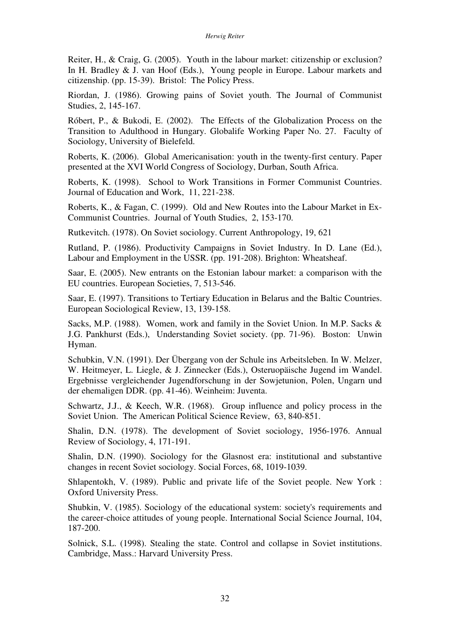Reiter, H., & Craig, G. (2005). Youth in the labour market: citizenship or exclusion? In H. Bradley & J. van Hoof (Eds.), Young people in Europe. Labour markets and citizenship. (pp. 15-39). Bristol: The Policy Press.

Riordan, J. (1986). Growing pains of Soviet youth. The Journal of Communist Studies, 2, 145-167.

Róbert, P., & Bukodi, E. (2002). The Effects of the Globalization Process on the Transition to Adulthood in Hungary. Globalife Working Paper No. 27. Faculty of Sociology, University of Bielefeld.

Roberts, K. (2006). Global Americanisation: youth in the twenty-first century. Paper presented at the XVI World Congress of Sociology, Durban, South Africa.

Roberts, K. (1998). School to Work Transitions in Former Communist Countries. Journal of Education and Work, 11, 221-238.

Roberts, K., & Fagan, C. (1999). Old and New Routes into the Labour Market in Ex-Communist Countries. Journal of Youth Studies, 2, 153-170.

Rutkevitch. (1978). On Soviet sociology. Current Anthropology, 19, 621

Rutland, P. (1986). Productivity Campaigns in Soviet Industry. In D. Lane (Ed.), Labour and Employment in the USSR. (pp. 191-208). Brighton: Wheatsheaf.

Saar, E. (2005). New entrants on the Estonian labour market: a comparison with the EU countries. European Societies, 7, 513-546.

Saar, E. (1997). Transitions to Tertiary Education in Belarus and the Baltic Countries. European Sociological Review, 13, 139-158.

Sacks, M.P. (1988). Women, work and family in the Soviet Union. In M.P. Sacks & J.G. Pankhurst (Eds.), Understanding Soviet society. (pp. 71-96). Boston: Unwin Hyman.

Schubkin, V.N. (1991). Der Übergang von der Schule ins Arbeitsleben. In W. Melzer, W. Heitmeyer, L. Liegle, & J. Zinnecker (Eds.), Osteruopäische Jugend im Wandel. Ergebnisse vergleichender Jugendforschung in der Sowjetunion, Polen, Ungarn und der ehemaligen DDR. (pp. 41-46). Weinheim: Juventa.

Schwartz, J.J., & Keech, W.R. (1968). Group influence and policy process in the Soviet Union. The American Political Science Review, 63, 840-851.

Shalin, D.N. (1978). The development of Soviet sociology, 1956-1976. Annual Review of Sociology, 4, 171-191.

Shalin, D.N. (1990). Sociology for the Glasnost era: institutional and substantive changes in recent Soviet sociology. Social Forces, 68, 1019-1039.

Shlapentokh, V. (1989). Public and private life of the Soviet people. New York : Oxford University Press.

Shubkin, V. (1985). Sociology of the educational system: society's requirements and the career-choice attitudes of young people. International Social Science Journal, 104, 187-200.

Solnick, S.L. (1998). Stealing the state. Control and collapse in Soviet institutions. Cambridge, Mass.: Harvard University Press.